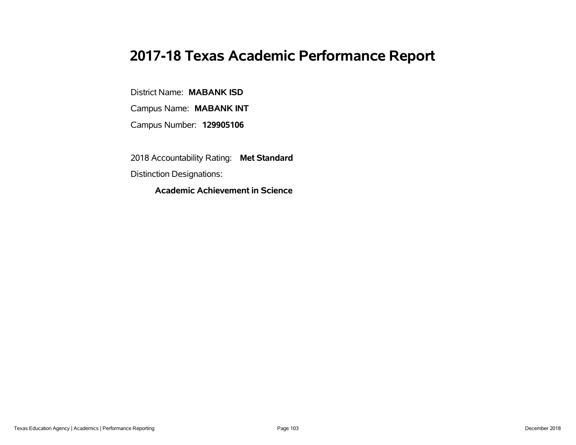# **2017-18 Texas Academic Performance Report**

District Name: **MABANK ISD**

Campus Name: **MABANK INT**

Campus Number: **129905106**

2018 Accountability Rating: **Met Standard**

Distinction Designations:

**Academic Achievement in Science**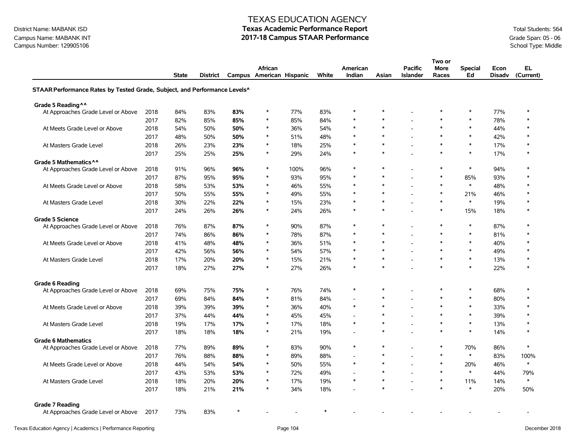## Campus Name: MABANK INT **2017-18 Campus STAAR Performance** Grade Span: 05 - 06 Campus Number: 129905106 Campus Stade Span: 05 - 06 Campus Stade Span: 05 - 06 Campus School Type: Middle Campus Number: 129905106

#### TEXAS EDUCATION AGENCY

|                                                                           |      |              |          |         |                                     |      |       |                    |        |                                   | Two or               |                      |                       |                  |
|---------------------------------------------------------------------------|------|--------------|----------|---------|-------------------------------------|------|-------|--------------------|--------|-----------------------------------|----------------------|----------------------|-----------------------|------------------|
|                                                                           |      | <b>State</b> | District |         | African<br>Campus American Hispanic |      | White | American<br>Indian | Asian  | <b>Pacific</b><br><b>Islander</b> | <b>More</b><br>Races | <b>Special</b><br>Ed | Econ<br><b>Disadv</b> | EL.<br>(Current) |
| STAAR Performance Rates by Tested Grade, Subject, and Performance Levels^ |      |              |          |         |                                     |      |       |                    |        |                                   |                      |                      |                       |                  |
| Grade 5 Reading ^^                                                        |      |              |          |         |                                     |      |       |                    |        |                                   |                      |                      |                       |                  |
| At Approaches Grade Level or Above                                        | 2018 | 84%          | 83%      | 83%     | ∗                                   | 77%  | 83%   | *                  | $\ast$ |                                   | *                    | $\ast$               | 77%                   | $\ast$           |
|                                                                           | 2017 | 82%          | 85%      | 85%     | $\ast$                              | 85%  | 84%   | $\ast$             | $\ast$ |                                   | $\ast$               | $\ast$               | 78%                   | $\ast$           |
| At Meets Grade Level or Above                                             | 2018 | 54%          | 50%      | 50%     | $\ast$                              | 36%  | 54%   | $\ast$             | $\ast$ |                                   | $\ast$               | $\ast$               | 44%                   | $\ast$           |
|                                                                           | 2017 | 48%          | 50%      | 50%     | $\ast$                              | 51%  | 48%   | $\ast$             | $\ast$ |                                   | $\ast$               | $\ast$               | 42%                   | $\ast$           |
| At Masters Grade Level                                                    | 2018 | 26%          | 23%      | 23%     | $\ast$                              | 18%  | 25%   | $\ast$             | $\ast$ | ÷                                 | $\ast$               | $\ast$               | 17%                   | $\ast$           |
|                                                                           | 2017 | 25%          | 25%      | 25%     | $\ast$                              | 29%  | 24%   | $\ast$             | $\ast$ |                                   | $\ast$               | $\ast$               | 17%                   | $\ast$           |
| Grade 5 Mathematics ^^                                                    |      |              |          |         |                                     |      |       |                    |        |                                   |                      |                      |                       |                  |
| At Approaches Grade Level or Above                                        | 2018 | 91%          | 96%      | 96%     | $\ast$                              | 100% | 96%   | $\ast$             | $\ast$ |                                   | $\ast$               | $\ast$               | 94%                   | $\ast$           |
|                                                                           | 2017 | 87%          | 95%      | 95%     | ∗                                   | 93%  | 95%   | $\ast$             | $\ast$ |                                   | $\ast$               | 85%                  | 93%                   | $\ast$           |
| At Meets Grade Level or Above                                             | 2018 | 58%          | 53%      | 53%     | ∗                                   | 46%  | 55%   | *                  | $\ast$ | $\overline{\phantom{a}}$          | $\ast$               | $\ast$               | 48%                   | $\ast$           |
|                                                                           | 2017 | 50%          | 55%      | 55%     | $\ast$                              | 49%  | 55%   | $\ast$             | $\ast$ |                                   | $\ast$               | 21%                  | 46%                   | $\ast$           |
| At Masters Grade Level                                                    | 2018 | 30%          | 22%      | 22%     | $\ast$                              | 15%  | 23%   | $\ast$             | $\ast$ |                                   | $\ast$               | $\ast$               | 19%                   | $\ast$           |
|                                                                           | 2017 | 24%          | 26%      | 26%     | $\ast$                              | 24%  | 26%   | $\ast$             | $\ast$ |                                   | $\ast$               | 15%                  | 18%                   | $\ast$           |
| <b>Grade 5 Science</b>                                                    |      |              |          |         |                                     |      |       |                    |        |                                   |                      |                      |                       |                  |
| At Approaches Grade Level or Above                                        | 2018 | 76%          | 87%      | 87%     | $\ast$                              | 90%  | 87%   | $\ast$             | $\ast$ |                                   | $\ast$               | $\ast$               | 87%                   | $\ast$           |
|                                                                           | 2017 | 74%          | 86%      | 86%     | $\ast$                              | 78%  | 87%   | $\ast$             | $\ast$ | $\overline{\phantom{a}}$          | $\ast$               | $\ast$               | 81%                   | $\ast$           |
| At Meets Grade Level or Above                                             | 2018 | 41%          | 48%      | 48%     | ∗                                   | 36%  | 51%   | $\ast$             | $\ast$ |                                   | $\ast$               | $\ast$               | 40%                   | $\ast$           |
|                                                                           | 2017 | 42%          | 56%      | 56%     | $\ast$                              | 54%  | 57%   | $\ast$             | $\ast$ | $\overline{\phantom{a}}$          | $\ast$               | $\ast$               | 49%                   | $\ast$           |
| At Masters Grade Level                                                    | 2018 | 17%          | 20%      | 20%     | $\ast$                              | 15%  | 21%   | $\ast$             | $\ast$ | $\overline{\phantom{a}}$          | $\ast$               | $\ast$               | 13%                   | $\ast$           |
|                                                                           | 2017 | 18%          | 27%      | 27%     | $\ast$                              | 27%  | 26%   | $\ast$             | $\ast$ |                                   | $\ast$               | $\ast$               | 22%                   | $\ast$           |
| <b>Grade 6 Reading</b>                                                    |      |              |          |         |                                     |      |       |                    |        |                                   |                      |                      |                       |                  |
| At Approaches Grade Level or Above                                        | 2018 | 69%          | 75%      | 75%     | $\ast$                              | 76%  | 74%   | $\ast$             | $\ast$ |                                   | *                    | $\ast$               | 68%                   | $\ast$           |
|                                                                           | 2017 | 69%          | 84%      | 84%     | $\ast$                              | 81%  | 84%   | $\overline{a}$     | $\ast$ |                                   | $\ast$               | $\ast$               | 80%                   | $\ast$           |
| At Meets Grade Level or Above                                             | 2018 | 39%          | 39%      | 39%     | $\ast$                              | 36%  | 40%   | $\ast$             | $\ast$ |                                   | $\ast$               | $\ast$               | 33%                   | $\ast$           |
|                                                                           | 2017 | 37%          | 44%      | 44%     | $\ast$                              | 45%  | 45%   | $\overline{a}$     | $\ast$ |                                   | $\ast$               | $\ast$               | 39%                   | $\ast$           |
| At Masters Grade Level                                                    | 2018 | 19%          | 17%      | 17%     | $\ast$                              | 17%  | 18%   | $\ast$             | $\ast$ |                                   | $\ast$               | $\ast$               | 13%                   | $\ast$           |
|                                                                           | 2017 | 18%          | 18%      | 18%     | $\ast$                              | 21%  | 19%   | $\overline{a}$     | $\ast$ |                                   | *                    | $\ast$               | 14%                   | $\ast$           |
| <b>Grade 6 Mathematics</b>                                                |      |              |          |         |                                     |      |       |                    |        |                                   |                      |                      |                       |                  |
| At Approaches Grade Level or Above                                        | 2018 | 77%          | 89%      | 89%     | $\ast$                              | 83%  | 90%   | $\ast$             | $\ast$ |                                   | $\ast$               | 70%                  | 86%                   | $\ast$           |
|                                                                           | 2017 | 76%          | 88%      | 88%     | ∗                                   | 89%  | 88%   | $\overline{a}$     | $\ast$ | $\overline{\phantom{a}}$          | $\ast$               | $\ast$               | 83%                   | 100%             |
| At Meets Grade Level or Above                                             | 2018 | 44%          | 54%      | 54%     | $\ast$                              | 50%  | 55%   | $\ast$             | $\ast$ |                                   | $\ast$               | 20%                  | 46%                   | $\ast$           |
|                                                                           | 2017 | 43%          | 53%      | 53%     | $\ast$                              | 72%  | 49%   |                    | $\ast$ |                                   | $\ast$               | $\ast$               | 44%                   | 79%              |
| At Masters Grade Level                                                    | 2018 | 18%          | 20%      | 20%     | $\ast$                              | 17%  | 19%   | $\ast$             | $\ast$ | $\blacksquare$                    | $\ast$               | 11%                  | 14%                   | $\ast$           |
|                                                                           | 2017 | 18%          | 21%      | 21%     |                                     | 34%  | 18%   |                    | $\ast$ |                                   | $\ast$               | $\ast$               | 20%                   | 50%              |
| <b>Grade 7 Reading</b>                                                    |      |              |          |         |                                     |      |       |                    |        |                                   |                      |                      |                       |                  |
| At Approaches Grade Level or Above                                        | 2017 | 73%          | 83%      | $\star$ |                                     |      |       |                    |        |                                   |                      |                      |                       |                  |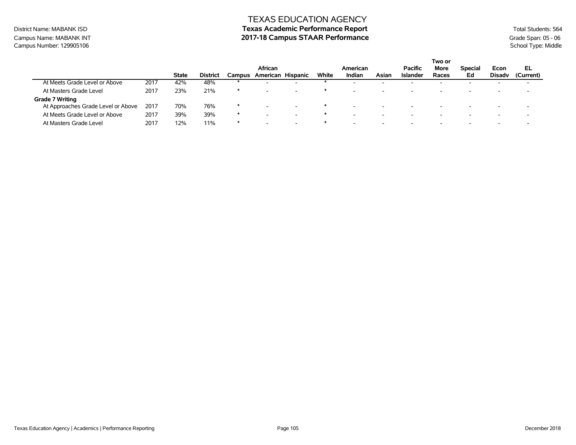### District Name: MABANK ISD **Texas Academic Performance Report Texas Academic Performance Report** Total Students: 564 Campus Name: MABANK INT **2017-18 Campus STAAR Performance** Grade Span: 05 - 06 Campus Number: 120005106 Campus Number: 120005106 Campus School Type: Middle

| Campus Number: 129905106      |      |              |                 |        |                   |       |          |       |                 |                          |                |       | School Type: Middle |  |
|-------------------------------|------|--------------|-----------------|--------|-------------------|-------|----------|-------|-----------------|--------------------------|----------------|-------|---------------------|--|
|                               |      |              |                 |        |                   |       |          |       |                 | Two or                   |                |       |                     |  |
|                               |      |              |                 |        | <b>African</b>    |       | American |       | Pacific         | More                     | <b>Special</b> | Econ  | EL                  |  |
|                               |      | <b>State</b> | <b>District</b> | Campus | American Hispanic | White | Indian   | Asian | <b>Islander</b> | Races                    | Ed             | Disad | (Current)           |  |
| At Meets Grade Level or Above | 2017 | 42%          | 48%             |        |                   |       |          |       |                 | $\overline{\phantom{a}}$ |                |       |                     |  |

|                                    |      | <b>State</b> | <b>District</b> | Campus  | American Hispanic | White | Indian                   | Asian                    | Islander                 | Races                    | Ed                       | <b>Disady</b>            | (Current)                |
|------------------------------------|------|--------------|-----------------|---------|-------------------|-------|--------------------------|--------------------------|--------------------------|--------------------------|--------------------------|--------------------------|--------------------------|
| At Meets Grade Level or Above      | 2017 | 42%          | 48%             |         |                   |       |                          | $\overline{\phantom{0}}$ | -                        |                          | $\overline{\phantom{a}}$ | $\overline{\phantom{0}}$ |                          |
| At Masters Grade Level             | 2017 | 23%          | 21%             | $\star$ |                   |       |                          | $\overline{\phantom{0}}$ | $\overline{\phantom{a}}$ | -                        | -                        | $\overline{\phantom{0}}$ |                          |
| Grade 7 Writing                    |      |              |                 |         |                   |       |                          |                          |                          |                          |                          |                          |                          |
| At Approaches Grade Level or Above | 2017 | 70%          | 76%             | $\ast$  |                   |       | $\sim$                   | $\sim$                   | $\overline{\phantom{a}}$ | $\overline{\phantom{0}}$ | $\overline{\phantom{0}}$ | $\overline{\phantom{a}}$ | -                        |
| At Meets Grade Level or Above      | 2017 | 39%          | 39%             | $\ast$  |                   |       | $\overline{\phantom{0}}$ | $\overline{\phantom{a}}$ | $\overline{\phantom{0}}$ | $\overline{\phantom{a}}$ | -                        | $\overline{\phantom{0}}$ | $\overline{\phantom{a}}$ |
| At Masters Grade Level             | 2017 | 12%          | 11%             |         |                   |       |                          | $\overline{\phantom{0}}$ | $\overline{\phantom{a}}$ | $\overline{\phantom{0}}$ | $\overline{\phantom{a}}$ | $\overline{\phantom{0}}$ |                          |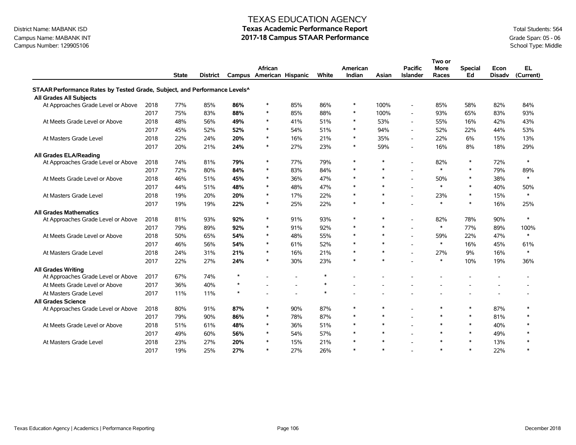# Campus Name: MABANK INT **2017-18 Campus STAAR Performance** Grade Span: 05 - 06 Campus Number: 129905106 Campus Stade Span: 05 - 06 Campus Stade Span: 05 - 06 Campus School Type: Middle Campus Number: 129905106

### TEXAS EDUCATION AGENCY

|                                                                           |      |              |                 |         |                          |                |        |          |        |                          | Two or      |                |               |           |
|---------------------------------------------------------------------------|------|--------------|-----------------|---------|--------------------------|----------------|--------|----------|--------|--------------------------|-------------|----------------|---------------|-----------|
|                                                                           |      |              |                 |         | African                  |                |        | American |        | <b>Pacific</b>           | <b>More</b> | <b>Special</b> | Econ          | EL.       |
|                                                                           |      | <b>State</b> | <b>District</b> |         | Campus American Hispanic |                | White  | Indian   | Asian  | <b>Islander</b>          | Races       | Ed             | <b>Disadv</b> | (Current) |
| STAAR Performance Rates by Tested Grade, Subject, and Performance Levels^ |      |              |                 |         |                          |                |        |          |        |                          |             |                |               |           |
| All Grades All Subjects                                                   |      |              |                 |         |                          |                |        |          |        |                          |             |                |               |           |
| At Approaches Grade Level or Above                                        | 2018 | 77%          | 85%             | 86%     | $\ast$                   | 85%            | 86%    | $\ast$   | 100%   | $\overline{a}$           | 85%         | 58%            | 82%           | 84%       |
|                                                                           | 2017 | 75%          | 83%             | 88%     | $\ast$                   | 85%            | 88%    | $\ast$   | 100%   |                          | 93%         | 65%            | 83%           | 93%       |
| At Meets Grade Level or Above                                             | 2018 | 48%          | 56%             | 49%     | $\ast$                   | 41%            | 51%    | $\ast$   | 53%    | $\blacksquare$           | 55%         | 16%            | 42%           | 43%       |
|                                                                           | 2017 | 45%          | 52%             | 52%     | $\ast$                   | 54%            | 51%    | $\ast$   | 94%    | $\overline{\phantom{a}}$ | 52%         | 22%            | 44%           | 53%       |
| At Masters Grade Level                                                    | 2018 | 22%          | 24%             | 20%     | $\ast$                   | 16%            | 21%    | $\ast$   | 35%    | $\overline{a}$           | 22%         | 6%             | 15%           | 13%       |
|                                                                           | 2017 | 20%          | 21%             | 24%     | $\ast$                   | 27%            | 23%    | $\ast$   | 59%    | $\overline{\phantom{a}}$ | 16%         | 8%             | 18%           | 29%       |
| All Grades ELA/Reading                                                    |      |              |                 |         |                          |                |        |          |        |                          |             |                |               |           |
| At Approaches Grade Level or Above                                        | 2018 | 74%          | 81%             | 79%     | $\ast$                   | 77%            | 79%    | $\ast$   | $\ast$ |                          | 82%         | $\ast$         | 72%           | $\ast$    |
|                                                                           | 2017 | 72%          | 80%             | 84%     | $\ast$                   | 83%            | 84%    | $\ast$   | $\ast$ |                          | $\ast$      | $\ast$         | 79%           | 89%       |
| At Meets Grade Level or Above                                             | 2018 | 46%          | 51%             | 45%     | $\ast$                   | 36%            | 47%    | $\ast$   | $\ast$ | $\overline{a}$           | 50%         | $\ast$         | 38%           | $\ast$    |
|                                                                           | 2017 | 44%          | 51%             | 48%     | $\ast$                   | 48%            | 47%    | $\ast$   | $\ast$ | $\blacksquare$           | $\ast$      | $\ast$         | 40%           | 50%       |
| At Masters Grade Level                                                    | 2018 | 19%          | 20%             | 20%     | $\ast$                   | 17%            | 22%    | $\ast$   | $\ast$ | $\overline{\phantom{a}}$ | 23%         | $\ast$         | 15%           | $\ast$    |
|                                                                           | 2017 | 19%          | 19%             | 22%     | $\ast$                   | 25%            | 22%    | $\ast$   | $\ast$ |                          | $\ast$      | $\ast$         | 16%           | 25%       |
| <b>All Grades Mathematics</b>                                             |      |              |                 |         |                          |                |        |          |        |                          |             |                |               |           |
| At Approaches Grade Level or Above                                        | 2018 | 81%          | 93%             | 92%     | $\ast$                   | 91%            | 93%    | $\ast$   | $\ast$ | $\blacksquare$           | 82%         | 78%            | 90%           | $\ast$    |
|                                                                           | 2017 | 79%          | 89%             | 92%     | $\ast$                   | 91%            | 92%    | $\ast$   | $\ast$ |                          | $\ast$      | 77%            | 89%           | 100%      |
| At Meets Grade Level or Above                                             | 2018 | 50%          | 65%             | 54%     | $\ast$                   | 48%            | 55%    | $\ast$   | $\ast$ | $\overline{\phantom{a}}$ | 59%         | 22%            | 47%           | $\ast$    |
|                                                                           | 2017 | 46%          | 56%             | 54%     | $\ast$                   | 61%            | 52%    | $\ast$   | $\ast$ |                          | $\ast$      | 16%            | 45%           | 61%       |
| At Masters Grade Level                                                    | 2018 | 24%          | 31%             | 21%     | $\ast$                   | 16%            | 21%    | $\ast$   | $\ast$ |                          | 27%         | 9%             | 16%           | $\ast$    |
|                                                                           | 2017 | 22%          | 27%             | 24%     | $\ast$                   | 30%            | 23%    | $\ast$   | $\ast$ |                          | $\ast$      | 10%            | 19%           | 36%       |
| <b>All Grades Writing</b>                                                 |      |              |                 |         |                          |                |        |          |        |                          |             |                |               |           |
| At Approaches Grade Level or Above                                        | 2017 | 67%          | 74%             | $\star$ |                          |                | $\ast$ |          |        |                          |             |                |               |           |
| At Meets Grade Level or Above                                             | 2017 | 36%          | 40%             | $\star$ |                          | $\overline{a}$ | $\ast$ |          |        |                          |             |                |               |           |
| At Masters Grade Level                                                    | 2017 | 11%          | 11%             | $\star$ |                          |                | $\ast$ |          |        |                          |             |                |               |           |
| <b>All Grades Science</b>                                                 |      |              |                 |         |                          |                |        |          |        |                          |             |                |               |           |
| At Approaches Grade Level or Above                                        | 2018 | 80%          | 91%             | 87%     | $\ast$                   | 90%            | 87%    | $\ast$   | $\ast$ |                          | $\ast$      | $\ast$         | 87%           |           |
|                                                                           | 2017 | 79%          | 90%             | 86%     | $\ast$                   | 78%            | 87%    | $\ast$   | $\ast$ |                          | $\ast$      | $\ast$         | 81%           | $\ast$    |
| At Meets Grade Level or Above                                             | 2018 | 51%          | 61%             | 48%     | $\ast$                   | 36%            | 51%    | $\ast$   | $\ast$ | $\overline{a}$           | $\ast$      | $\ast$         | 40%           | $\ast$    |
|                                                                           | 2017 | 49%          | 60%             | 56%     | $\ast$                   | 54%            | 57%    | $\ast$   | $\ast$ | $\blacksquare$           | $\ast$      | $\ast$         | 49%           |           |
| At Masters Grade Level                                                    | 2018 | 23%          | 27%             | 20%     | $\ast$                   | 15%            | 21%    | $\ast$   | $\ast$ |                          | $\ast$      | $\ast$         | 13%           |           |
|                                                                           | 2017 | 19%          | 25%             | 27%     | $\ast$                   | 27%            | 26%    | $\ast$   | $\ast$ |                          | $\ast$      | $\ast$         | 22%           | $\ast$    |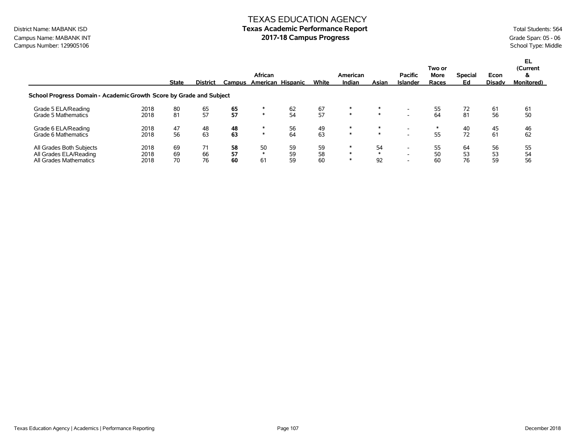# TEXAS EDUCATION AGENCY District Name: MABANK ISD **Texas Academic Performance Report Texas Academic Performance Report** Total Students: 564

Campus Name: MABANK INT **Campus Progress 2017-18 Campus Progress** Grade Span: 05 - 06<br>
Campus Number: 129905106 School Type: Middle Campus Number: 129905106

|                                                                              |                      | <b>State</b>   | <b>District</b> | <b>Campus</b>  | African            | American Hispanic | White          | American<br>Indian         | Asian              | <b>Pacific</b><br><b>Islander</b>                    | Two or<br>More<br>Races | <b>Special</b><br>Ed | Econ<br><b>Disady</b> | EL<br>(Current<br>&<br><b>Monitored</b> ) |
|------------------------------------------------------------------------------|----------------------|----------------|-----------------|----------------|--------------------|-------------------|----------------|----------------------------|--------------------|------------------------------------------------------|-------------------------|----------------------|-----------------------|-------------------------------------------|
| School Progress Domain - Academic Growth Score by Grade and Subject          |                      |                |                 |                |                    |                   |                |                            |                    |                                                      |                         |                      |                       |                                           |
| Grade 5 ELA/Reading<br>Grade 5 Mathematics                                   | 2018<br>2018         | 80<br>81       | 65<br>57        | 65<br>57       | $\ast$             | 62<br>54          | 67<br>57       | $\ast$<br>$\ast$           | $\ast$             | $\overline{\phantom{0}}$                             | 55<br>64                | 72<br>81             | 61<br>56              | 61<br>50                                  |
| Grade 6 ELA/Reading<br>Grade 6 Mathematics                                   | 2018<br>2018         | 47<br>56       | 48<br>63        | 48<br>63       | $\ast$             | 56<br>64          | 49<br>63       | $\ast$<br>$\ast$           | *<br>$\ast$        |                                                      | 55                      | 40<br>72             | 45<br>61              | 46<br>62                                  |
| All Grades Both Subjects<br>All Grades ELA/Reading<br>All Grades Mathematics | 2018<br>2018<br>2018 | 69<br>69<br>70 | 71<br>66<br>76  | 58<br>57<br>60 | 50<br>$\ast$<br>61 | 59<br>59<br>59    | 59<br>58<br>60 | $\ast$<br>$\ast$<br>$\ast$ | 54<br>$\ast$<br>92 | $\overline{\phantom{0}}$<br>$\overline{\phantom{0}}$ | 55<br>50<br>60          | 64<br>53<br>76       | 56<br>53<br>59        | 55<br>54<br>56                            |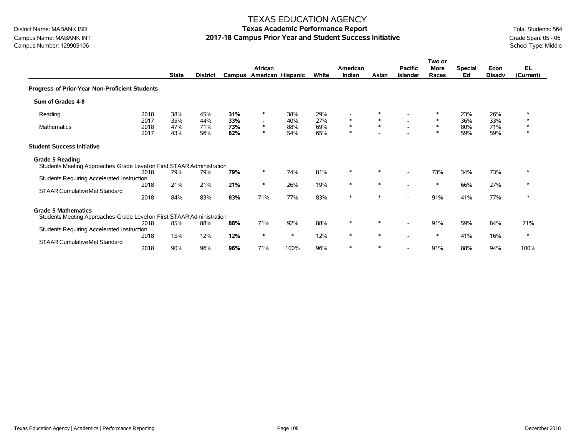Campus Name: MABANK INT **2017-18 Campus Prior Year and Student Success Initiative** Grade Span: 05 - 06 Campus Number: 129905106 School Type: Middle Campus Number: 129905106

### TEXAS EDUCATION AGENCY

|                                                                                                     |                              | <b>State</b>             | <b>District</b>          | Campus                   | African<br>American Hispanic                           |                          | White                    | American<br>Indian         | Asian                 | <b>Pacific</b><br><b>Islander</b> | Two or<br><b>More</b><br>Races | <b>Special</b><br>Ed     | Econ<br><b>Disadv</b>    | <b>EL</b><br>(Current)     |
|-----------------------------------------------------------------------------------------------------|------------------------------|--------------------------|--------------------------|--------------------------|--------------------------------------------------------|--------------------------|--------------------------|----------------------------|-----------------------|-----------------------------------|--------------------------------|--------------------------|--------------------------|----------------------------|
| Progress of Prior-Year Non-Proficient Students                                                      |                              |                          |                          |                          |                                                        |                          |                          |                            |                       |                                   |                                |                          |                          |                            |
| Sum of Grades 4-8                                                                                   |                              |                          |                          |                          |                                                        |                          |                          |                            |                       |                                   |                                |                          |                          |                            |
| Reading<br>Mathematics                                                                              | 2018<br>2017<br>2018<br>2017 | 38%<br>35%<br>47%<br>43% | 45%<br>44%<br>71%<br>56% | 31%<br>33%<br>73%<br>62% | $\ast$<br>$\overline{\phantom{a}}$<br>$\ast$<br>$\ast$ | 38%<br>40%<br>88%<br>54% | 29%<br>27%<br>69%<br>65% | $\ast$<br>$\ast$<br>$\ast$ | ∗<br>$\ast$<br>$\ast$ |                                   | $\ast$<br>$\ast$<br>$\ast$     | 23%<br>36%<br>80%<br>59% | 26%<br>33%<br>71%<br>59% | $\ast$<br>$\ast$<br>$\ast$ |
| <b>Student Success Initiative</b>                                                                   |                              |                          |                          |                          |                                                        |                          |                          |                            |                       |                                   |                                |                          |                          |                            |
| <b>Grade 5 Reading</b><br>Students Meeting Approaches Grade Level on First STAAR Administration     | 2018                         | 79%                      | 79%                      | 79%                      | $\ast$                                                 | 74%                      | 81%                      | ∗                          | ∗                     |                                   | 73%                            | 34%                      | 73%                      | *                          |
| Students Requiring Accelerated Instruction<br><b>STAAR Cumulative Met Standard</b>                  | 2018<br>2018                 | 21%<br>84%               | 21%<br>83%               | 21%<br>83%               | $\ast$<br>71%                                          | 26%<br>77%               | 19%<br>83%               | $\ast$<br>$\ast$           | $\ast$<br>$\ast$      |                                   | $\ast$<br>91%                  | 66%<br>41%               | 27%<br>77%               | $\ast$<br>$\ast$           |
| <b>Grade 5 Mathematics</b><br>Students Meeting Approaches Grade Level on First STAAR Administration | 2018                         | 85%                      | 88%                      | 88%                      | 71%                                                    | 92%                      | 88%                      | $\ast$                     | ∗                     |                                   | 91%                            | 59%                      | 84%                      | 71%                        |
| Students Requiring Accelerated Instruction<br><b>STAAR Cumulative Met Standard</b>                  | 2018                         | 15%                      | 12%                      | 12%                      | $\ast$                                                 | $\ast$                   | 12%                      | $\ast$                     | $\ast$                |                                   | *                              | 41%                      | 16%                      | $\ast$                     |
|                                                                                                     | 2018                         | 90%                      | 96%                      | 96%                      | 71%                                                    | 100%                     | 96%                      | $\ast$                     | $\ast$                |                                   | 91%                            | 88%                      | 94%                      | 100%                       |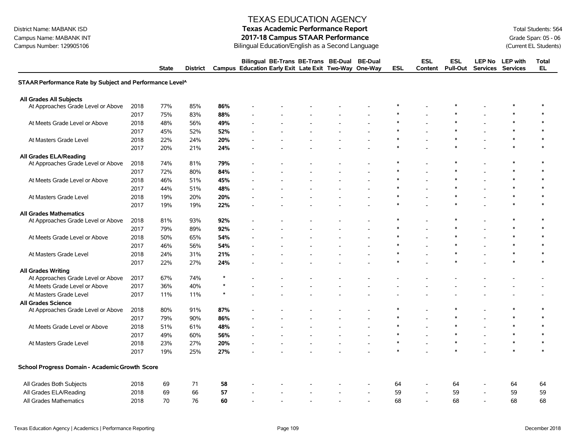# District Name: MABANK ISD **Texas Academic Performance Report Texas Academic Performance Report** Total Students: 564

Campus Name: MABANK INT **2017-18 Campus STAAR Performance**<br>Campus Number: 129905106 **Current EL Students** Bilingual Education/English as a Second Language

|                                                          |      | <b>State</b> | <b>District</b> |         | Bilingual BE-Trans BE-Trans BE-Dual<br>Campus Education Early Exit Late Exit Two-Way One-Way |  | <b>BE-Dual</b> | <b>ESL</b> | <b>ESL</b><br>Content | <b>ESL</b><br><b>Pull-Out</b> | <b>LEP No</b>            | <b>LEP</b> with<br>Services Services | <b>Total</b><br><b>EL</b> |
|----------------------------------------------------------|------|--------------|-----------------|---------|----------------------------------------------------------------------------------------------|--|----------------|------------|-----------------------|-------------------------------|--------------------------|--------------------------------------|---------------------------|
| STAAR Performance Rate by Subject and Performance Level^ |      |              |                 |         |                                                                                              |  |                |            |                       |                               |                          |                                      |                           |
| All Grades All Subjects                                  |      |              |                 |         |                                                                                              |  |                |            |                       |                               |                          |                                      |                           |
| At Approaches Grade Level or Above                       | 2018 | 77%          | 85%             | 86%     |                                                                                              |  |                |            |                       |                               |                          |                                      | $\ast$                    |
|                                                          | 2017 | 75%          | 83%             | 88%     |                                                                                              |  |                | $\ast$     |                       | $\ast$                        |                          | $\ast$                               | $\ast$                    |
| At Meets Grade Level or Above                            | 2018 | 48%          | 56%             | 49%     |                                                                                              |  |                | $\ast$     |                       | $\ast$                        |                          | $\ast$                               | $\ast$                    |
|                                                          | 2017 | 45%          | 52%             | 52%     |                                                                                              |  |                |            |                       |                               |                          | $\ast$                               | $\ast$                    |
| At Masters Grade Level                                   | 2018 | 22%          | 24%             | 20%     |                                                                                              |  |                | $\ast$     |                       | $\ast$                        |                          | $\ast$                               | $\ast$                    |
|                                                          | 2017 | 20%          | 21%             | 24%     |                                                                                              |  |                | $\ast$     |                       | $\ast$                        |                          | $\ast$                               | $\ast$                    |
| <b>All Grades ELA/Reading</b>                            |      |              |                 |         |                                                                                              |  |                |            |                       |                               |                          |                                      |                           |
| At Approaches Grade Level or Above                       | 2018 | 74%          | 81%             | 79%     |                                                                                              |  |                | ∗          |                       | $\ast$                        |                          | $\ast$                               | $\ast$                    |
|                                                          | 2017 | 72%          | 80%             | 84%     |                                                                                              |  |                | $\ast$     | $\overline{a}$        | $\ast$                        | ÷.                       | $\ast$                               | $\ast$                    |
| At Meets Grade Level or Above                            | 2018 | 46%          | 51%             | 45%     |                                                                                              |  |                | $\ast$     |                       | $\ast$                        |                          | $\ast$                               | $\ast$                    |
|                                                          | 2017 | 44%          | 51%             | 48%     |                                                                                              |  |                | $\ast$     |                       | $\ast$                        |                          | $\ast$                               | $\ast$                    |
| At Masters Grade Level                                   | 2018 | 19%          | 20%             | 20%     |                                                                                              |  |                | $\ast$     |                       | $\ast$                        |                          | $\ast$                               | $\ast$                    |
|                                                          | 2017 | 19%          | 19%             | 22%     |                                                                                              |  |                |            |                       | $\ast$                        |                          | $\ast$                               | $\ast$                    |
| <b>All Grades Mathematics</b>                            |      |              |                 |         |                                                                                              |  |                |            |                       |                               |                          |                                      |                           |
| At Approaches Grade Level or Above                       | 2018 | 81%          | 93%             | 92%     |                                                                                              |  |                | $\ast$     |                       | $\ast$                        |                          | $\ast$                               | $\ast$                    |
|                                                          | 2017 | 79%          | 89%             | 92%     |                                                                                              |  |                |            |                       | $\ast$                        |                          | $\ast$                               | $\ast$                    |
| At Meets Grade Level or Above                            | 2018 | 50%          | 65%             | 54%     |                                                                                              |  |                | $\ast$     |                       | $\ast$                        |                          | $\ast$                               | $\ast$                    |
|                                                          | 2017 | 46%          | 56%             | 54%     |                                                                                              |  |                | $\ast$     |                       | $\ast$                        |                          | $\ast$                               | $\ast$                    |
| At Masters Grade Level                                   | 2018 | 24%          | 31%             | 21%     |                                                                                              |  |                | $\ast$     |                       | $\ast$                        |                          | $\ast$                               | $\ast$                    |
|                                                          | 2017 | 22%          | 27%             | 24%     |                                                                                              |  |                | $\ast$     |                       | $\ast$                        |                          | $\ast$                               | $\ast$                    |
| <b>All Grades Writing</b>                                |      |              |                 |         |                                                                                              |  |                |            |                       |                               |                          |                                      |                           |
| At Approaches Grade Level or Above                       | 2017 | 67%          | 74%             | $\star$ |                                                                                              |  |                |            |                       |                               |                          |                                      |                           |
| At Meets Grade Level or Above                            | 2017 | 36%          | 40%             | $\star$ |                                                                                              |  |                |            |                       |                               |                          |                                      |                           |
| At Masters Grade Level                                   | 2017 | 11%          | 11%             | $\star$ |                                                                                              |  |                |            |                       |                               |                          |                                      |                           |
| <b>All Grades Science</b>                                |      |              |                 |         |                                                                                              |  |                |            |                       |                               |                          |                                      |                           |
| At Approaches Grade Level or Above                       | 2018 | 80%          | 91%             | 87%     |                                                                                              |  |                | $\ast$     |                       | $\ast$                        |                          | $\ast$                               | $\ast$                    |
|                                                          | 2017 | 79%          | 90%             | 86%     |                                                                                              |  |                | $\ast$     |                       | $\ast$                        |                          | $\ast$                               | $\ast$                    |
| At Meets Grade Level or Above                            | 2018 | 51%          | 61%             | 48%     |                                                                                              |  |                |            |                       |                               |                          | $\ast$                               | $\ast$                    |
|                                                          | 2017 | 49%          | 60%             | 56%     |                                                                                              |  |                | $\ast$     |                       | $\ast$                        |                          | $\ast$                               | $\ast$                    |
| At Masters Grade Level                                   | 2018 | 23%          | 27%             | 20%     |                                                                                              |  |                | $\ast$     |                       | $\ast$                        | $\overline{\phantom{a}}$ | $\ast$                               | $\ast$                    |
|                                                          | 2017 | 19%          | 25%             | 27%     |                                                                                              |  |                |            |                       |                               |                          | $\ast$                               | $\ast$                    |
| School Progress Domain - Academic Growth Score           |      |              |                 |         |                                                                                              |  |                |            |                       |                               |                          |                                      |                           |
| All Grades Both Subjects                                 | 2018 | 69           | 71              | 58      |                                                                                              |  |                | 64         |                       | 64                            |                          | 64                                   | 64                        |
| All Grades ELA/Reading                                   | 2018 | 69           | 66              | 57      |                                                                                              |  | $\overline{a}$ | 59         |                       | 59                            |                          | 59                                   | 59                        |
| All Grades Mathematics                                   | 2018 | 70           | 76              | 60      |                                                                                              |  |                | 68         |                       | 68                            |                          | 68                                   | 68                        |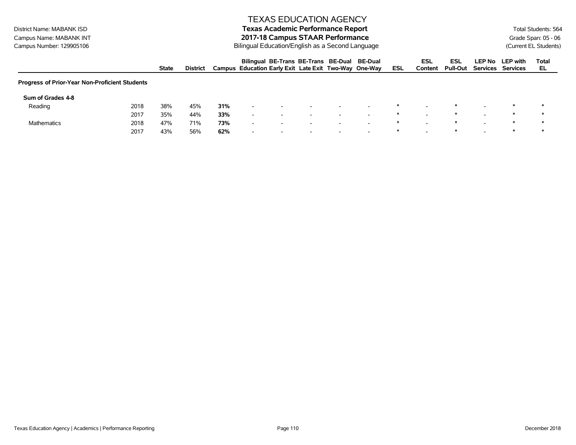#### District Name: MABANK ISD **Texas Academic Performance Report Texas Academic Performance Report** Total Students: 564 Campus Name: MABANK INT **2017-18 Campus STAAR Performance**<br>Campus Number: 129905106 **Current EL Students** Bilingual Education/English as a Second Language

|                                                |      | <b>State</b> | <b>District</b> |     |                          | Bilingual BE-Trans BE-Trans BE-Dual BE-Dual<br>Campus Education Early Exit Late Exit Two-Way One-Way |                          |                          |                          | ESL | <b>ESL</b><br>Content | ESL<br><b>Pull-Out</b> | LEP No LEP with<br>Services Services | Total<br>EL |
|------------------------------------------------|------|--------------|-----------------|-----|--------------------------|------------------------------------------------------------------------------------------------------|--------------------------|--------------------------|--------------------------|-----|-----------------------|------------------------|--------------------------------------|-------------|
| Progress of Prior-Year Non-Proficient Students |      |              |                 |     |                          |                                                                                                      |                          |                          |                          |     |                       |                        |                                      |             |
| Sum of Grades 4-8                              |      |              |                 |     |                          |                                                                                                      |                          |                          |                          |     |                       |                        |                                      |             |
| Reading                                        | 2018 | 38%          | 45%             | 31% | $\overline{\phantom{a}}$ |                                                                                                      | -                        | -                        |                          | ∗   |                       |                        |                                      |             |
|                                                | 2017 | 35%          | 44%             | 33% | $\overline{\phantom{a}}$ | $\overline{\phantom{0}}$                                                                             | -                        | $\overline{\phantom{a}}$ | -                        | ∗   |                       |                        |                                      | ∗           |
| <b>Mathematics</b>                             | 2018 | 47%          | 71%             | 73% | $\overline{\phantom{a}}$ | $\overline{\phantom{a}}$                                                                             | $\overline{\phantom{a}}$ | $\overline{\phantom{a}}$ | $\overline{\phantom{a}}$ | ∗   |                       |                        |                                      |             |
|                                                | 2017 | 43%          | 56%             | 62% | $\overline{\phantom{0}}$ | $\overline{\phantom{a}}$                                                                             | $\overline{\phantom{0}}$ | $\overline{\phantom{0}}$ | $\overline{\phantom{0}}$ |     |                       |                        |                                      |             |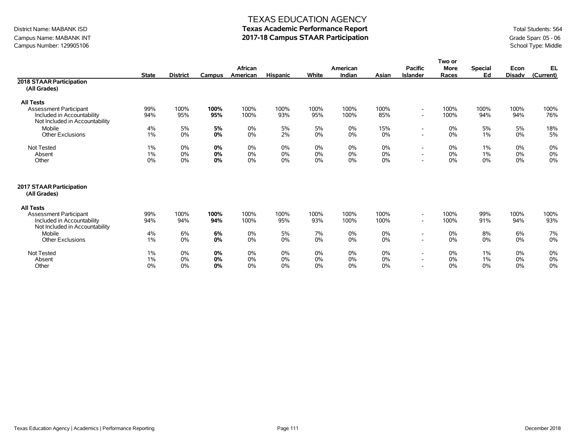# Campus Name: MABANK INT **2017-18 Campus STAAR Participation**<br>
2017-18 Campus STAAR Participation<br>
Campus Number: 129905106 School Type: Middle Campus Number: 129905106

#### TEXAS EDUCATION AGENCY

|                                                                                                                   |                      |                 |                | African        |                 |                   | American       |                | <b>Pacific</b>                                       | Two or<br><b>More</b> | <b>Special</b>       | Econ           | EL             |
|-------------------------------------------------------------------------------------------------------------------|----------------------|-----------------|----------------|----------------|-----------------|-------------------|----------------|----------------|------------------------------------------------------|-----------------------|----------------------|----------------|----------------|
|                                                                                                                   | <b>State</b>         | <b>District</b> | Campus         | American       | <b>Hispanic</b> | White             | Indian         | Asian          | <b>Islander</b>                                      | Races                 | Ed                   | <b>Disadv</b>  | (Current)      |
| 2018 STAAR Participation<br>(All Grades)                                                                          |                      |                 |                |                |                 |                   |                |                |                                                      |                       |                      |                |                |
| <b>All Tests</b>                                                                                                  |                      |                 |                |                |                 |                   |                |                |                                                      |                       |                      |                |                |
| <b>Assessment Participant</b><br>Included in Accountability<br>Not Included in Accountability                     | 99%<br>94%           | 100%<br>95%     | 100%<br>95%    | 100%<br>100%   | 100%<br>93%     | 100%<br>95%       | 100%<br>100%   | 100%<br>85%    | $\overline{\phantom{a}}$<br>$\overline{\phantom{a}}$ | 100%<br>100%          | 100%<br>94%          | 100%<br>94%    | 100%<br>76%    |
| Mobile<br><b>Other Exclusions</b>                                                                                 | 4%<br>$1\%$          | 5%<br>0%        | 5%<br>0%       | 0%<br>0%       | 5%<br>2%        | 5%<br>0%          | 0%<br>0%       | 15%<br>0%      | $\sim$                                               | 0%<br>0%              | 5%<br>$1\%$          | 5%<br>0%       | 18%<br>5%      |
| Not Tested<br>Absent<br>Other                                                                                     | $1\%$<br>$1\%$<br>0% | 0%<br>0%<br>0%  | 0%<br>0%<br>0% | 0%<br>0%<br>0% | 0%<br>0%<br>0%  | $0\%$<br>0%<br>0% | 0%<br>0%<br>0% | 0%<br>0%<br>0% |                                                      | 0%<br>0%<br>0%        | 1%<br>$1\%$<br>$0\%$ | 0%<br>0%<br>0% | 0%<br>0%<br>0% |
| 2017 STAAR Participation<br>(All Grades)                                                                          |                      |                 |                |                |                 |                   |                |                |                                                      |                       |                      |                |                |
| <b>All Tests</b><br><b>Assessment Participant</b><br>Included in Accountability<br>Not Included in Accountability | 99%<br>94%           | 100%<br>94%     | 100%<br>94%    | 100%<br>100%   | 100%<br>95%     | 100%<br>93%       | 100%<br>100%   | 100%<br>100%   | $\overline{\phantom{a}}$<br>$\overline{\phantom{a}}$ | 100%<br>100%          | 99%<br>91%           | 100%<br>94%    | 100%<br>93%    |
| Mobile<br><b>Other Exclusions</b>                                                                                 | 4%<br>1%             | 6%<br>0%        | 6%<br>0%       | 0%<br>0%       | 5%<br>0%        | 7%<br>$0\%$       | 0%<br>0%       | 0%<br>0%       |                                                      | 0%<br>0%              | 8%<br>$0\%$          | 6%<br>0%       | 7%<br>0%       |
| Not Tested<br>Absent<br>Other                                                                                     | 1%<br>1%<br>0%       | 0%<br>0%<br>0%  | 0%<br>0%<br>0% | 0%<br>0%<br>0% | 0%<br>0%<br>0%  | 0%<br>0%<br>0%    | 0%<br>0%<br>0% | 0%<br>0%<br>0% | $\overline{\phantom{a}}$                             | 0%<br>0%<br>0%        | 1%<br>$1\%$<br>$0\%$ | 0%<br>0%<br>0% | 0%<br>0%<br>0% |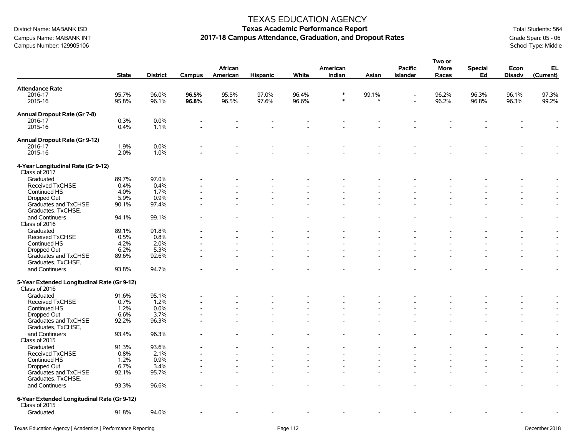Campus Name: MABANK INT **2017-18 Campus Attendance, Graduation, and Dropout Rates** Grane Mates Grade Span: 05 - 06<br>Campus Number: 129905106 School Type: Middle Campus Number: 129905106

#### TEXAS EDUCATION AGENCY

# District Name: MABANK ISD **Texas Academic Performance Report Texas Academic Performance Report** Total Students: 564

**Two or**

|                                                              | <b>State</b>   | <b>District</b> | Campus         | African<br>American | <b>Hispanic</b> | White          | American<br>Indian | Asian | <b>Pacific</b><br><b>Islander</b> | וט שעו<br><b>More</b><br>Races | <b>Special</b><br>Ed | Econ<br><b>Disadv</b> | EL<br>(Current)          |
|--------------------------------------------------------------|----------------|-----------------|----------------|---------------------|-----------------|----------------|--------------------|-------|-----------------------------------|--------------------------------|----------------------|-----------------------|--------------------------|
| <b>Attendance Rate</b>                                       |                |                 |                |                     |                 |                |                    |       |                                   |                                |                      |                       |                          |
| 2016-17<br>2015-16                                           | 95.7%<br>95.8% | 96.0%<br>96.1%  | 96.5%<br>96.8% | 95.5%<br>96.5%      | 97.0%<br>97.6%  | 96.4%<br>96.6% | $\ast$<br>$\ast$   | 99.1% |                                   | 96.2%<br>96.2%                 | 96.3%<br>96.8%       | 96.1%<br>96.3%        | 97.3%<br>99.2%           |
| Annual Dropout Rate (Gr 7-8)                                 |                |                 |                |                     |                 |                |                    |       |                                   |                                |                      |                       |                          |
| 2016-17                                                      | 0.3%           | 0.0%            |                |                     |                 |                |                    |       |                                   |                                |                      |                       |                          |
| 2015-16                                                      | 0.4%           | 1.1%            |                |                     |                 |                |                    |       |                                   |                                |                      |                       |                          |
| Annual Dropout Rate (Gr 9-12)                                |                |                 |                |                     |                 |                |                    |       |                                   |                                |                      |                       |                          |
| 2016-17                                                      | 1.9%           | 0.0%            |                |                     |                 |                |                    |       |                                   |                                |                      |                       |                          |
| 2015-16                                                      | 2.0%           | 1.0%            |                |                     |                 |                |                    |       |                                   |                                |                      |                       |                          |
| 4-Year Longitudinal Rate (Gr 9-12)<br>Class of 2017          |                |                 |                |                     |                 |                |                    |       |                                   |                                |                      |                       |                          |
| Graduated                                                    | 89.7%          | 97.0%           |                |                     |                 |                |                    |       |                                   |                                |                      |                       |                          |
| Received TxCHSE                                              | 0.4%           | 0.4%            |                |                     |                 |                |                    |       |                                   |                                |                      |                       |                          |
| Continued HS                                                 | 4.0%           | 1.7%            |                |                     |                 |                |                    |       |                                   |                                |                      |                       |                          |
| Dropped Out                                                  | 5.9%           | 0.9%            |                |                     |                 |                |                    |       |                                   |                                |                      |                       |                          |
| Graduates and TxCHSE<br>Graduates, TxCHSE,                   | 90.1%          | 97.4%           |                |                     |                 |                |                    |       |                                   |                                |                      |                       |                          |
| and Continuers<br>Class of 2016                              | 94.1%          | 99.1%           |                |                     |                 |                |                    |       |                                   |                                |                      |                       | $\overline{\phantom{a}}$ |
| Graduated                                                    | 89.1%          | 91.8%           |                |                     |                 |                |                    |       |                                   |                                |                      |                       |                          |
| Received TxCHSE                                              | 0.5%           | 0.8%            |                |                     |                 |                |                    |       |                                   |                                |                      |                       |                          |
| Continued HS                                                 | 4.2%           | 2.0%            |                |                     |                 |                |                    |       |                                   |                                |                      |                       |                          |
| Dropped Out                                                  | 6.2%           | 5.3%            |                |                     |                 |                |                    |       |                                   |                                |                      |                       |                          |
| Graduates and TxCHSE<br>Graduates, TxCHSE,                   | 89.6%          | 92.6%           |                |                     |                 |                |                    |       |                                   |                                |                      |                       | $\overline{\phantom{a}}$ |
| and Continuers                                               | 93.8%          | 94.7%           |                |                     |                 |                |                    |       |                                   |                                |                      |                       |                          |
| 5-Year Extended Longitudinal Rate (Gr 9-12)<br>Class of 2016 |                |                 |                |                     |                 |                |                    |       |                                   |                                |                      |                       |                          |
| Graduated                                                    | 91.6%          | 95.1%           |                |                     |                 |                |                    |       |                                   |                                |                      |                       |                          |
| Received TxCHSE                                              | 0.7%           | 1.2%            |                |                     |                 |                |                    |       |                                   |                                |                      |                       |                          |
| Continued HS                                                 | 1.2%           | 0.0%            |                |                     |                 |                |                    |       |                                   |                                |                      |                       |                          |
| Dropped Out                                                  | 6.6%           | 3.7%            |                |                     |                 |                |                    |       |                                   |                                |                      | $\overline{a}$        | $\overline{\phantom{a}}$ |
| Graduates and TxCHSE<br>Graduates, TxCHSE,                   | 92.2%          | 96.3%           |                |                     |                 |                |                    |       |                                   |                                |                      |                       | $\overline{\phantom{a}}$ |
| and Continuers<br>Class of 2015                              | 93.4%          | 96.3%           |                |                     |                 |                |                    |       |                                   |                                |                      |                       | $\overline{\phantom{a}}$ |
| Graduated                                                    | 91.3%          | 93.6%           |                |                     |                 |                |                    |       |                                   |                                |                      |                       |                          |
| Received TxCHSE                                              | 0.8%           | 2.1%            |                |                     |                 |                |                    |       |                                   |                                |                      |                       |                          |
| Continued HS                                                 | 1.2%           | 0.9%            |                |                     |                 |                |                    |       |                                   |                                |                      |                       |                          |
| Dropped Out                                                  | 6.7%           | 3.4%            |                |                     |                 |                |                    |       |                                   |                                |                      |                       |                          |
| Graduates and TxCHSE<br>Graduates, TxCHSE,                   | 92.1%          | 95.7%           |                |                     |                 |                |                    |       |                                   |                                |                      |                       | $\blacksquare$           |
| and Continuers                                               | 93.3%          | 96.6%           |                |                     |                 |                |                    |       |                                   |                                |                      |                       | $\blacksquare$           |
| 6-Year Extended Longitudinal Rate (Gr 9-12)<br>Class of 2015 |                |                 |                |                     |                 |                |                    |       |                                   |                                |                      |                       |                          |
| Graduated                                                    | 91.8%          | 94.0%           |                |                     |                 |                |                    |       |                                   |                                |                      |                       |                          |
|                                                              |                |                 |                |                     |                 |                |                    |       |                                   |                                |                      |                       |                          |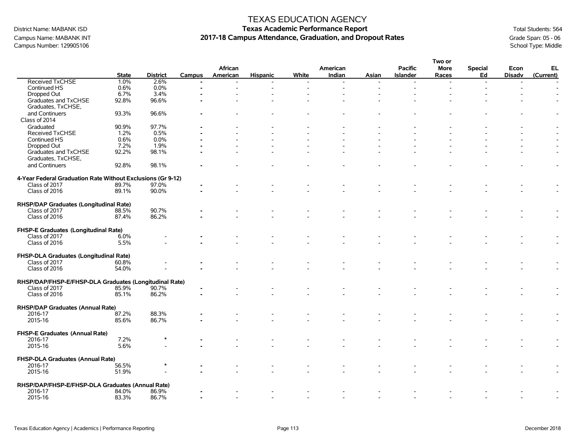Campus Number: 129905106

### TEXAS EDUCATION AGENCY

# District Name: MABANK ISD **Texas Academic Performance Report Texas Academic Performance Report** Total Students: 564 Campus Name: MABANK INT **2017-18 Campus Attendance, Graduation, and Dropout Rates** Grand Span: 05 - 06 Campus Number: 129905106 School Type: Middle

|                                                             |              |                 |               |          |                 |       |          |       |                 | Two or |                |                |           |
|-------------------------------------------------------------|--------------|-----------------|---------------|----------|-----------------|-------|----------|-------|-----------------|--------|----------------|----------------|-----------|
|                                                             |              |                 |               | African  |                 |       | American |       | <b>Pacific</b>  | More   | <b>Special</b> | Econ           | EL        |
|                                                             | <b>State</b> | <b>District</b> | <b>Campus</b> | American | <b>Hispanic</b> | White | Indian   | Asian | <b>Islander</b> | Races  | Ed             | <b>Disadv</b>  | (Current) |
| <b>Received TxCHSE</b>                                      | 1.0%         | 2.6%            |               |          |                 |       |          |       |                 |        |                |                |           |
| Continued HS                                                | 0.6%         | 0.0%            |               |          |                 |       |          |       |                 |        |                | $\overline{a}$ |           |
| Dropped Out                                                 | 6.7%         | 3.4%            |               |          |                 |       |          |       |                 |        |                |                |           |
| Graduates and TxCHSE                                        | 92.8%        | 96.6%           |               |          |                 |       |          |       |                 |        |                |                |           |
| Graduates, TxCHSE,                                          |              |                 |               |          |                 |       |          |       |                 |        |                |                |           |
| and Continuers                                              | 93.3%        | 96.6%           |               |          |                 |       |          |       |                 |        |                |                |           |
| Class of 2014                                               |              |                 |               |          |                 |       |          |       |                 |        |                |                |           |
|                                                             |              |                 |               |          |                 |       |          |       |                 |        |                |                |           |
| Graduated                                                   | 90.9%        | 97.7%           |               |          |                 |       |          |       |                 |        |                |                |           |
| <b>Received TxCHSE</b>                                      | 1.2%         | 0.5%            |               |          |                 |       |          |       |                 |        |                |                |           |
| Continued HS                                                | 0.6%         | 0.0%            |               |          |                 |       |          |       |                 |        |                |                |           |
| Dropped Out                                                 | 7.2%         | 1.9%            |               |          |                 |       |          |       |                 |        |                |                |           |
| Graduates and TxCHSE                                        | 92.2%        | 98.1%           |               |          |                 |       |          |       |                 |        |                |                |           |
| Graduates, TxCHSE,                                          |              |                 |               |          |                 |       |          |       |                 |        |                |                |           |
| and Continuers                                              | 92.8%        | 98.1%           |               |          |                 |       |          |       |                 |        |                |                |           |
|                                                             |              |                 |               |          |                 |       |          |       |                 |        |                |                |           |
| 4-Year Federal Graduation Rate Without Exclusions (Gr 9-12) |              |                 |               |          |                 |       |          |       |                 |        |                |                |           |
| Class of 2017                                               | 89.7%        | 97.0%           |               |          |                 |       |          |       |                 |        |                |                |           |
| Class of 2016                                               | 89.1%        | 90.0%           |               |          |                 |       |          |       |                 |        |                |                |           |
|                                                             |              |                 |               |          |                 |       |          |       |                 |        |                |                |           |
| RHSP/DAP Graduates (Longitudinal Rate)                      |              |                 |               |          |                 |       |          |       |                 |        |                |                |           |
| Class of 2017                                               | 88.5%        | 90.7%           |               |          |                 |       |          |       |                 |        |                |                |           |
| Class of 2016                                               | 87.4%        | 86.2%           |               |          |                 |       |          |       |                 |        |                |                |           |
|                                                             |              |                 |               |          |                 |       |          |       |                 |        |                |                |           |
|                                                             |              |                 |               |          |                 |       |          |       |                 |        |                |                |           |
| FHSP-E Graduates (Longitudinal Rate)                        |              |                 |               |          |                 |       |          |       |                 |        |                |                |           |
| Class of 2017                                               | 6.0%         |                 |               |          |                 |       |          |       |                 |        |                |                |           |
| Class of 2016                                               | 5.5%         |                 |               |          |                 |       |          |       |                 |        |                |                |           |
|                                                             |              |                 |               |          |                 |       |          |       |                 |        |                |                |           |
| FHSP-DLA Graduates (Longitudinal Rate)                      |              |                 |               |          |                 |       |          |       |                 |        |                |                |           |
| Class of 2017                                               | 60.8%        |                 |               |          |                 |       |          |       |                 |        |                |                |           |
| Class of 2016                                               | 54.0%        |                 |               |          |                 |       |          |       |                 |        |                |                |           |
|                                                             |              |                 |               |          |                 |       |          |       |                 |        |                |                |           |
| RHSP/DAP/FHSP-E/FHSP-DLA Graduates (Longitudinal Rate)      |              |                 |               |          |                 |       |          |       |                 |        |                |                |           |
| Class of 2017                                               | 85.9%        | 90.7%           |               |          |                 |       |          |       |                 |        |                |                |           |
| Class of 2016                                               | 85.1%        | 86.2%           |               |          |                 |       |          |       |                 |        |                |                |           |
|                                                             |              |                 |               |          |                 |       |          |       |                 |        |                |                |           |
| RHSP/DAP Graduates (Annual Rate)                            |              |                 |               |          |                 |       |          |       |                 |        |                |                |           |
| 2016-17                                                     | 87.2%        | 88.3%           |               |          |                 |       |          |       |                 |        |                |                |           |
| 2015-16                                                     | 85.6%        | 86.7%           |               |          |                 |       |          |       |                 |        |                |                |           |
|                                                             |              |                 |               |          |                 |       |          |       |                 |        |                |                |           |
| FHSP-E Graduates (Annual Rate)                              |              |                 |               |          |                 |       |          |       |                 |        |                |                |           |
| 2016-17                                                     | 7.2%         | $\ast$          |               |          |                 |       |          |       |                 |        |                |                |           |
| 2015-16                                                     | 5.6%         |                 |               |          |                 |       |          |       |                 |        |                |                |           |
|                                                             |              |                 |               |          |                 |       |          |       |                 |        |                |                |           |
|                                                             |              |                 |               |          |                 |       |          |       |                 |        |                |                |           |
| FHSP-DLA Graduates (Annual Rate)                            |              |                 |               |          |                 |       |          |       |                 |        |                |                |           |
| 2016-17                                                     | 56.5%        |                 |               |          |                 |       |          |       |                 |        |                |                |           |
| 2015-16                                                     | 51.9%        |                 |               |          |                 |       |          |       |                 |        |                |                |           |
|                                                             |              |                 |               |          |                 |       |          |       |                 |        |                |                |           |
| RHSP/DAP/FHSP-E/FHSP-DLA Graduates (Annual Rate)            |              |                 |               |          |                 |       |          |       |                 |        |                |                |           |
| 2016-17                                                     | 84.0%        | 86.9%           |               |          |                 |       |          |       |                 |        |                |                |           |
| 2015-16                                                     | 83.3%        | 86.7%           |               |          |                 |       |          |       |                 |        |                |                |           |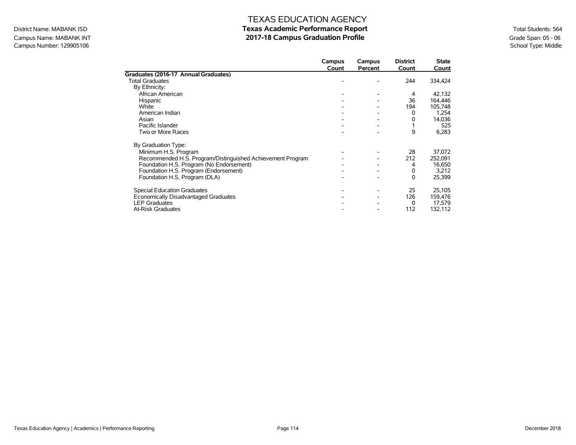## Campus Name: MABANK INT **2017-18 Campus Graduation Profile** Campus Graduation Profile<br>
Campus Number: 129905106 School Type: Middle Campus Number: 129905106

|                                                            | Campus | Campus  | <b>District</b><br>Count | <b>State</b> |
|------------------------------------------------------------|--------|---------|--------------------------|--------------|
| Graduates (2016-17 Annual Graduates)                       | Count  | Percent |                          | Count        |
| <b>Total Graduates</b>                                     |        |         | 244                      | 334,424      |
| By Ethnicity:                                              |        |         |                          |              |
| African American                                           |        |         | 4                        | 42,132       |
| Hispanic                                                   |        |         | 36                       | 164,446      |
| White                                                      |        |         | 194                      | 105,748      |
| American Indian                                            |        |         | 0                        | 1,254        |
| Asian                                                      |        |         | 0                        | 14,036       |
| Pacific Islander                                           |        |         |                          | 525          |
| Two or More Races                                          |        |         | 9                        | 6,283        |
| By Graduation Type:                                        |        |         |                          |              |
| Minimum H.S. Program                                       |        |         | 28                       | 37,072       |
| Recommended H.S. Program/Distinguished Achievement Program |        |         | 212                      | 252,091      |
| Foundation H.S. Program (No Endorsement)                   |        |         | 4                        | 16,650       |
| Foundation H.S. Program (Endorsement)                      |        |         | 0                        | 3,212        |
| Foundation H.S. Program (DLA)                              |        |         | 0                        | 25,399       |
| <b>Special Education Graduates</b>                         |        |         | 25                       | 25,105       |
| Economically Disadvantaged Graduates                       |        |         | 126                      | 159,476      |
| <b>LEP Graduates</b>                                       |        |         | $\Omega$                 | 17,579       |
| <b>At-Risk Graduates</b>                                   |        |         | 112                      | 132,112      |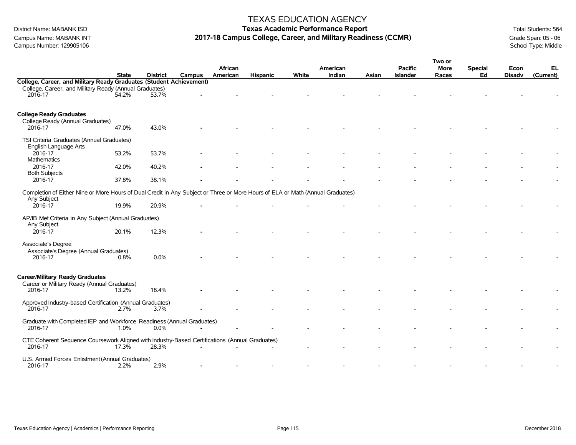Campus Number: 129905106

### TEXAS EDUCATION AGENCY

# District Name: MABANK ISD **Texas Academic Performance Report Texas Academic Performance Report** Total Students: 564 Campus Name: MABANK INT **2017-18 Campus College, Career, and Military Readiness (CCMR)** Grade Span: 05 - 06 Campus Number: 129905106<br>Campus Number: 129905106

|                                                                                                                                |              |                 |        |          |                 |       |          |       |                 | Two or      |                |               |           |
|--------------------------------------------------------------------------------------------------------------------------------|--------------|-----------------|--------|----------|-----------------|-------|----------|-------|-----------------|-------------|----------------|---------------|-----------|
|                                                                                                                                |              |                 |        | African  |                 |       | American |       | <b>Pacific</b>  | <b>More</b> | <b>Special</b> | Econ          | EL        |
|                                                                                                                                | <b>State</b> | <b>District</b> | Campus | American | <b>Hispanic</b> | White | Indian   | Asian | <b>Islander</b> | Races       | Ed             | <b>Disadv</b> | (Current) |
| College, Career, and Military Ready Graduates (Student Achievement)                                                            |              |                 |        |          |                 |       |          |       |                 |             |                |               |           |
| College, Career, and Military Ready (Annual Graduates)                                                                         |              |                 |        |          |                 |       |          |       |                 |             |                |               |           |
| 2016-17                                                                                                                        | 54.2%        | 53.7%           |        |          |                 |       |          |       |                 |             |                |               |           |
|                                                                                                                                |              |                 |        |          |                 |       |          |       |                 |             |                |               |           |
|                                                                                                                                |              |                 |        |          |                 |       |          |       |                 |             |                |               |           |
| <b>College Ready Graduates</b>                                                                                                 |              |                 |        |          |                 |       |          |       |                 |             |                |               |           |
| College Ready (Annual Graduates)<br>2016-17                                                                                    | 47.0%        | 43.0%           |        |          |                 |       |          |       |                 |             |                |               |           |
|                                                                                                                                |              |                 |        |          |                 |       |          |       |                 |             |                |               |           |
| TSI Criteria Graduates (Annual Graduates)                                                                                      |              |                 |        |          |                 |       |          |       |                 |             |                |               |           |
| English Language Arts                                                                                                          |              |                 |        |          |                 |       |          |       |                 |             |                |               |           |
| 2016-17                                                                                                                        | 53.2%        | 53.7%           |        |          |                 |       |          |       |                 |             |                |               |           |
| Mathematics                                                                                                                    |              |                 |        |          |                 |       |          |       |                 |             |                |               |           |
| 2016-17                                                                                                                        | 42.0%        | 40.2%           |        |          |                 |       |          |       |                 |             |                |               |           |
| <b>Both Subjects</b>                                                                                                           |              |                 |        |          |                 |       |          |       |                 |             |                |               |           |
| 2016-17                                                                                                                        | 37.8%        | 38.1%           |        |          |                 |       |          |       |                 |             |                |               |           |
|                                                                                                                                |              |                 |        |          |                 |       |          |       |                 |             |                |               |           |
| Completion of Either Nine or More Hours of Dual Credit in Any Subject or Three or More Hours of ELA or Math (Annual Graduates) |              |                 |        |          |                 |       |          |       |                 |             |                |               |           |
| Any Subject                                                                                                                    |              |                 |        |          |                 |       |          |       |                 |             |                |               |           |
| 2016-17                                                                                                                        | 19.9%        | 20.9%           |        |          |                 |       |          |       |                 |             |                |               |           |
| AP/IB Met Criteria in Any Subject (Annual Graduates)                                                                           |              |                 |        |          |                 |       |          |       |                 |             |                |               |           |
| Any Subject                                                                                                                    |              |                 |        |          |                 |       |          |       |                 |             |                |               |           |
| 2016-17                                                                                                                        | 20.1%        | 12.3%           |        |          |                 |       |          |       |                 |             |                |               |           |
|                                                                                                                                |              |                 |        |          |                 |       |          |       |                 |             |                |               |           |
| Associate's Degree                                                                                                             |              |                 |        |          |                 |       |          |       |                 |             |                |               |           |
| Associate's Degree (Annual Graduates)                                                                                          |              |                 |        |          |                 |       |          |       |                 |             |                |               |           |
| 2016-17                                                                                                                        | 0.8%         | 0.0%            |        |          |                 |       |          |       |                 |             |                |               |           |
|                                                                                                                                |              |                 |        |          |                 |       |          |       |                 |             |                |               |           |
|                                                                                                                                |              |                 |        |          |                 |       |          |       |                 |             |                |               |           |
| <b>Career/Military Ready Graduates</b>                                                                                         |              |                 |        |          |                 |       |          |       |                 |             |                |               |           |
| Career or Military Ready (Annual Graduates)                                                                                    |              |                 |        |          |                 |       |          |       |                 |             |                |               |           |
| 2016-17                                                                                                                        | 13.2%        | 18.4%           |        |          |                 |       |          |       |                 |             |                |               |           |
| Approved Industry-based Certification (Annual Graduates)                                                                       |              |                 |        |          |                 |       |          |       |                 |             |                |               |           |
| 2016-17                                                                                                                        | 2.7%         | 3.7%            |        |          |                 |       |          |       |                 |             |                |               |           |
|                                                                                                                                |              |                 |        |          |                 |       |          |       |                 |             |                |               |           |
| Graduate with Completed IEP and Workforce Readiness (Annual Graduates)                                                         |              |                 |        |          |                 |       |          |       |                 |             |                |               |           |
| 2016-17                                                                                                                        | 1.0%         | 0.0%            |        |          |                 |       |          |       |                 |             |                |               |           |
|                                                                                                                                |              |                 |        |          |                 |       |          |       |                 |             |                |               |           |
| CTE Coherent Sequence Coursework Aligned with Industry-Based Certifications (Annual Graduates)                                 |              | 28.3%           |        |          |                 |       |          |       |                 |             |                |               |           |
| 2016-17                                                                                                                        | $17.3\%$     |                 |        |          |                 |       |          |       |                 |             |                |               |           |
| U.S. Armed Forces Enlistment (Annual Graduates)                                                                                |              |                 |        |          |                 |       |          |       |                 |             |                |               |           |
| 2016-17                                                                                                                        | 2.2%         | 2.9%            |        |          |                 |       |          |       |                 |             |                |               |           |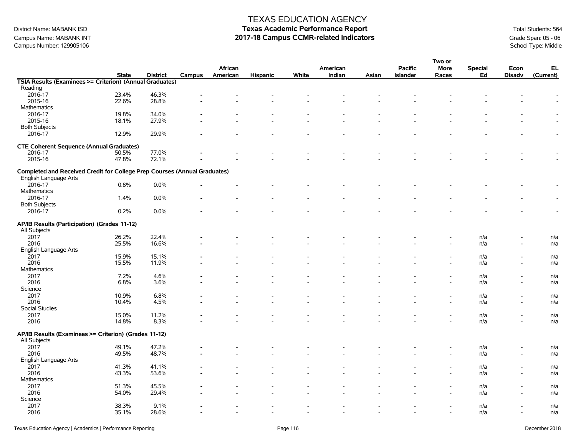Campus Name: MABANK INT **2017-18 Campus CCMR-related Indicators 2017-18 Campus CCMR-related Indicators** Crampus Number: 129905106<br>
2017-18 Campus Campus Number: 129905106 School Type: Middle Campus Number: 129905106

### TEXAS EDUCATION AGENCY

|                                                                           |              |                 |        |          |                          |       |          |       |                 | Two or                   |                |                          |           |
|---------------------------------------------------------------------------|--------------|-----------------|--------|----------|--------------------------|-------|----------|-------|-----------------|--------------------------|----------------|--------------------------|-----------|
|                                                                           |              |                 |        | African  |                          |       | American |       | <b>Pacific</b>  | <b>More</b>              | <b>Special</b> | Econ                     | EL        |
|                                                                           | <b>State</b> | <b>District</b> | Campus | American | <b>Hispanic</b>          | White | Indian   | Asian | <b>Islander</b> | Races                    | Ed             | <b>Disadv</b>            | (Current) |
| TSIA Results (Examinees >= Criterion) (Annual Graduates)                  |              |                 |        |          |                          |       |          |       |                 |                          |                |                          |           |
| Reading                                                                   |              |                 |        |          |                          |       |          |       |                 |                          |                |                          |           |
| 2016-17                                                                   | 23.4%        | 46.3%           |        |          |                          |       |          |       |                 |                          |                |                          |           |
| 2015-16                                                                   | 22.6%        | 28.8%           |        |          |                          |       |          |       |                 |                          |                |                          |           |
| <b>Mathematics</b>                                                        |              |                 |        |          |                          |       |          |       |                 |                          |                |                          |           |
| 2016-17                                                                   | 19.8%        | 34.0%           |        |          |                          |       |          |       |                 |                          |                |                          |           |
| 2015-16                                                                   | 18.1%        | 27.9%           |        |          |                          |       |          |       |                 |                          |                |                          |           |
| <b>Both Subjects</b>                                                      |              |                 |        |          |                          |       |          |       |                 |                          |                |                          |           |
| 2016-17                                                                   | 12.9%        | 29.9%           |        |          |                          |       |          |       |                 |                          |                |                          |           |
|                                                                           |              |                 |        |          |                          |       |          |       |                 |                          |                |                          |           |
| <b>CTE Coherent Sequence (Annual Graduates)</b>                           |              |                 |        |          |                          |       |          |       |                 |                          |                |                          |           |
| 2016-17                                                                   | 50.5%        | 77.0%           |        |          |                          |       |          |       |                 |                          |                |                          |           |
| 2015-16                                                                   | 47.8%        | 72.1%           |        |          |                          |       |          |       |                 |                          |                |                          |           |
|                                                                           |              |                 |        |          |                          |       |          |       |                 |                          |                |                          |           |
| Completed and Received Credit for College Prep Courses (Annual Graduates) |              |                 |        |          |                          |       |          |       |                 |                          |                |                          |           |
| English Language Arts                                                     |              |                 |        |          |                          |       |          |       |                 |                          |                |                          |           |
|                                                                           |              |                 |        |          |                          |       |          |       |                 |                          |                |                          |           |
| 2016-17                                                                   | 0.8%         | 0.0%            |        |          |                          |       |          |       |                 |                          |                |                          |           |
| Mathematics                                                               |              |                 |        |          |                          |       |          |       |                 |                          |                |                          |           |
| 2016-17                                                                   | 1.4%         | 0.0%            |        |          |                          |       |          |       |                 |                          |                |                          |           |
| <b>Both Subjects</b>                                                      |              |                 |        |          |                          |       |          |       |                 |                          |                |                          |           |
| 2016-17                                                                   | 0.2%         | 0.0%            |        |          |                          |       |          |       |                 |                          |                |                          |           |
|                                                                           |              |                 |        |          |                          |       |          |       |                 |                          |                |                          |           |
| AP/IB Results (Participation) (Grades 11-12)                              |              |                 |        |          |                          |       |          |       |                 |                          |                |                          |           |
| All Subjects                                                              |              |                 |        |          |                          |       |          |       |                 |                          |                |                          |           |
| 2017                                                                      | 26.2%        | 22.4%           |        |          |                          |       |          |       |                 |                          | n/a            |                          | n/a       |
| 2016                                                                      | 25.5%        | 16.6%           |        |          |                          |       |          |       |                 |                          | n/a            |                          | n/a       |
| English Language Arts                                                     |              |                 |        |          |                          |       |          |       |                 |                          |                |                          |           |
| 2017                                                                      | 15.9%        | 15.1%           |        |          |                          |       |          |       |                 |                          | n/a            |                          | n/a       |
| 2016                                                                      | 15.5%        | 11.9%           |        |          |                          |       |          |       |                 |                          | n/a            | $\overline{\phantom{a}}$ | n/a       |
| <b>Mathematics</b>                                                        |              |                 |        |          |                          |       |          |       |                 |                          |                |                          |           |
| 2017                                                                      | 7.2%         | 4.6%            |        |          |                          |       |          |       |                 |                          | n/a            | $\overline{\phantom{a}}$ | n/a       |
| 2016                                                                      | 6.8%         | 3.6%            |        |          |                          |       |          |       |                 |                          | n/a            | $\blacksquare$           | n/a       |
| Science                                                                   |              |                 |        |          |                          |       |          |       |                 |                          |                |                          |           |
| 2017                                                                      | 10.9%        | 6.8%            |        |          |                          |       |          |       |                 |                          | n/a            |                          | n/a       |
| 2016                                                                      | 10.4%        | 4.5%            |        |          |                          |       |          |       |                 |                          |                | $\overline{\phantom{a}}$ | n/a       |
| Social Studies                                                            |              |                 |        |          |                          |       |          |       |                 |                          | n/a            |                          |           |
|                                                                           |              |                 |        |          |                          |       |          |       |                 |                          |                |                          |           |
| 2017                                                                      | 15.0%        | 11.2%           |        |          |                          |       |          |       |                 |                          | n/a            |                          | n/a       |
| 2016                                                                      | 14.8%        | 8.3%            |        |          |                          |       |          |       |                 |                          | n/a            |                          | n/a       |
| AP/IB Results (Examinees >= Criterion) (Grades 11-12)                     |              |                 |        |          |                          |       |          |       |                 |                          |                |                          |           |
|                                                                           |              |                 |        |          |                          |       |          |       |                 |                          |                |                          |           |
| All Subjects                                                              |              |                 |        |          |                          |       |          |       |                 |                          |                |                          |           |
| 2017                                                                      | 49.1%        | 47.2%           |        |          |                          |       |          |       |                 |                          | n/a            |                          | n/a       |
| 2016                                                                      | 49.5%        | 48.7%           |        |          |                          |       |          |       |                 |                          | n/a            |                          | n/a       |
| English Language Arts                                                     |              |                 |        |          |                          |       |          |       |                 |                          |                |                          |           |
| 2017                                                                      | 41.3%        | 41.1%           |        |          |                          |       |          |       |                 |                          | n/a            |                          | n/a       |
| 2016                                                                      | 43.3%        | 53.6%           |        |          |                          |       |          |       |                 |                          | n/a            | $\overline{\phantom{a}}$ | n/a       |
| <b>Mathematics</b>                                                        |              |                 |        |          |                          |       |          |       |                 |                          |                |                          |           |
| 2017                                                                      | 51.3%        | 45.5%           |        |          |                          |       |          |       |                 |                          | n/a            |                          | n/a       |
| 2016                                                                      | 54.0%        | 29.4%           |        |          |                          |       |          |       |                 |                          | n/a            |                          | n/a       |
| Science                                                                   |              |                 |        |          |                          |       |          |       |                 |                          |                |                          |           |
| 2017                                                                      | 38.3%        | 9.1%            |        |          |                          |       |          |       |                 |                          | n/a            |                          | n/a       |
| 2016                                                                      | 35.1%        | 28.6%           |        |          | $\overline{\phantom{a}}$ |       | $\sim$   |       | $\blacksquare$  | $\overline{\phantom{a}}$ | n/a            | $\overline{\phantom{a}}$ | n/a       |
|                                                                           |              |                 |        |          |                          |       |          |       |                 |                          |                |                          |           |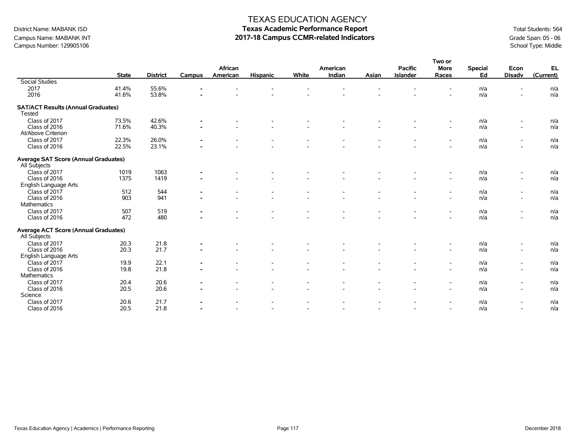# District Name: MABANK ISD **Texas Academic Performance Report Texas Academic Performance Report** Total Students: 564 Campus Name: MABANK INT **2017-18 Campus CCMR-related Indicators 2017-18 Campus CCMR-related Indicators** Crampus Number: 129905106<br>
2017-18 Campus Campus Number: 129905106 School Type: Middle

|                                                             |              |                 |                |          |                 |       |                    |                          |                 | Two or                   |                      |                          |           |
|-------------------------------------------------------------|--------------|-----------------|----------------|----------|-----------------|-------|--------------------|--------------------------|-----------------|--------------------------|----------------------|--------------------------|-----------|
|                                                             |              |                 |                | African  |                 |       | American<br>Indian |                          | <b>Pacific</b>  | <b>More</b>              | <b>Special</b><br>Ed | Econ                     | EL        |
| <b>Social Studies</b>                                       | <b>State</b> | <b>District</b> | <b>Campus</b>  | American | <b>Hispanic</b> | White |                    | Asian                    | <b>Islander</b> | Races                    |                      | <b>Disadv</b>            | (Current) |
| 2017                                                        | 41.4%        | 55.6%           |                |          |                 |       |                    |                          |                 |                          | n/a                  |                          | n/a       |
| 2016                                                        | 41.6%        | 53.8%           |                |          |                 |       |                    |                          |                 |                          | n/a                  |                          | n/a       |
|                                                             |              |                 |                |          |                 |       |                    |                          |                 |                          |                      |                          |           |
| <b>SAT/ACT Results (Annual Graduates)</b><br>Tested         |              |                 |                |          |                 |       |                    |                          |                 |                          |                      |                          |           |
| Class of 2017                                               | 73.5%        | 42.6%           | ۰              |          |                 |       |                    |                          |                 | $\overline{\phantom{a}}$ | n/a                  | $\overline{\phantom{a}}$ | n/a       |
| Class of 2016                                               | 71.6%        | 40.3%           |                |          |                 |       |                    |                          |                 | $\overline{\phantom{a}}$ | n/a                  | $\overline{\phantom{a}}$ | n/a       |
| At/Above Criterion                                          |              |                 |                |          |                 |       |                    |                          |                 |                          |                      |                          |           |
| Class of 2017                                               | 22.3%        | 26.0%           |                |          |                 |       |                    |                          |                 |                          | n/a                  |                          | n/a       |
| Class of 2016                                               | 22.5%        | 23.1%           |                |          |                 |       |                    |                          |                 |                          | n/a                  |                          | n/a       |
|                                                             |              |                 |                |          |                 |       |                    |                          |                 |                          |                      |                          |           |
| <b>Average SAT Score (Annual Graduates)</b><br>All Subjects |              |                 |                |          |                 |       |                    |                          |                 |                          |                      |                          |           |
| Class of 2017                                               | 1019         | 1063            |                |          |                 |       |                    |                          |                 |                          | n/a                  | $\overline{\phantom{0}}$ | n/a       |
| Class of 2016                                               | 1375         | 1419            |                |          |                 |       |                    |                          |                 | $\blacksquare$           | n/a                  | $\overline{\phantom{0}}$ | n/a       |
| English Language Arts                                       |              |                 |                |          |                 |       |                    |                          |                 |                          |                      |                          |           |
| Class of 2017                                               | 512          | 544             |                |          |                 |       |                    |                          |                 | $\overline{\phantom{a}}$ | n/a                  | $\overline{\phantom{a}}$ | n/a       |
| Class of 2016                                               | 903          | 941             |                |          |                 |       |                    |                          |                 |                          | n/a                  | $\overline{\phantom{a}}$ | n/a       |
| Mathematics                                                 |              |                 |                |          |                 |       |                    |                          |                 |                          |                      |                          |           |
| Class of 2017                                               | 507          | 519             |                |          |                 |       |                    |                          |                 |                          | n/a                  |                          | n/a       |
| Class of 2016                                               | 472          | 480             |                |          |                 |       |                    |                          |                 | $\overline{a}$           | n/a                  | $\overline{\phantom{a}}$ | n/a       |
|                                                             |              |                 |                |          |                 |       |                    |                          |                 |                          |                      |                          |           |
| <b>Average ACT Score (Annual Graduates)</b><br>All Subjects |              |                 |                |          |                 |       |                    |                          |                 |                          |                      |                          |           |
| Class of 2017                                               | 20.3         | 21.8            |                |          |                 |       |                    |                          |                 | $\overline{\phantom{a}}$ | n/a                  | $\overline{\phantom{a}}$ | n/a       |
| Class of 2016                                               | 20.3         | 21.7            |                |          |                 |       |                    |                          |                 | $\overline{\phantom{a}}$ | n/a                  | $\overline{\phantom{a}}$ | n/a       |
| English Language Arts                                       |              |                 |                |          |                 |       |                    |                          |                 |                          |                      |                          |           |
| Class of 2017                                               | 19.9         | 22.1            |                |          |                 |       |                    |                          |                 |                          | n/a                  | $\overline{\phantom{0}}$ | n/a       |
| Class of 2016                                               | 19.8         | 21.8            |                |          |                 |       |                    |                          |                 | $\sim$                   | n/a                  | $\blacksquare$           | n/a       |
| Mathematics                                                 |              |                 |                |          |                 |       |                    |                          |                 |                          |                      |                          |           |
| Class of 2017                                               | 20.4         | 20.6            | $\blacksquare$ |          |                 |       |                    | $\overline{\phantom{0}}$ |                 | $\overline{\phantom{a}}$ | n/a                  | $\overline{\phantom{a}}$ | n/a       |
| Class of 2016                                               | 20.5         | 20.6            | $\blacksquare$ |          |                 |       |                    |                          |                 | $\blacksquare$           | n/a                  | $\overline{\phantom{a}}$ | n/a       |
| Science                                                     |              |                 |                |          |                 |       |                    |                          |                 |                          |                      |                          |           |
| Class of 2017                                               | 20.6         | 21.7            |                |          |                 |       |                    |                          |                 | $\overline{\phantom{a}}$ | n/a                  | $\overline{\phantom{a}}$ | n/a       |
| Class of 2016                                               | 20.5         | 21.8            |                |          |                 |       |                    |                          |                 |                          | n/a                  |                          | n/a       |
|                                                             |              |                 |                |          |                 |       |                    |                          |                 |                          |                      |                          |           |

Campus Number: 129905106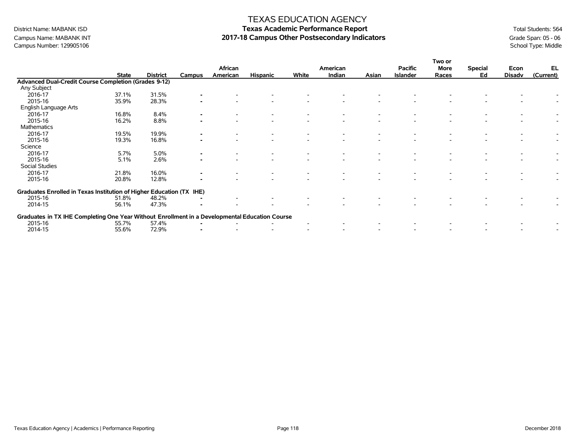# Campus Number: 129905106

### TEXAS EDUCATION AGENCY

# District Name: MABANK ISD **Texas Academic Performance Report Texas Academic Performance Report** Total Students: 564 Campus Name: MABANK INT **2017-18 Campus Other Postsecondary Indicators** Grade Span: 05 - 06 Campus Number: 129905106<br>Campus Number: 129905106 School Type: Middle

|                                                                                                |              |                 |                | African  |                 |       | American |       | <b>Pacific</b>  | Two or<br>More | <b>Special</b> | Econ   | EL        |
|------------------------------------------------------------------------------------------------|--------------|-----------------|----------------|----------|-----------------|-------|----------|-------|-----------------|----------------|----------------|--------|-----------|
|                                                                                                | <b>State</b> | <b>District</b> | Campus         | American | <b>Hispanic</b> | White | Indian   | Asian | <b>Islander</b> | Races          | Ed             | Disadv | (Current) |
| <b>Advanced Dual-Credit Course Completion (Grades 9-12)</b>                                    |              |                 |                |          |                 |       |          |       |                 |                |                |        |           |
| Any Subject                                                                                    |              |                 |                |          |                 |       |          |       |                 |                |                |        |           |
| 2016-17                                                                                        | 37.1%        | 31.5%           |                |          |                 |       |          |       |                 |                |                |        |           |
| 2015-16                                                                                        | 35.9%        | 28.3%           |                |          |                 |       |          |       |                 |                |                |        |           |
| English Language Arts                                                                          |              |                 |                |          |                 |       |          |       |                 |                |                |        |           |
| 2016-17                                                                                        | 16.8%        | 8.4%            |                |          |                 |       |          |       |                 |                |                |        |           |
| 2015-16                                                                                        | 16.2%        | 8.8%            |                |          |                 |       |          |       |                 |                |                |        |           |
| Mathematics                                                                                    |              |                 |                |          |                 |       |          |       |                 |                |                |        |           |
| 2016-17                                                                                        | 19.5%        | 19.9%           |                |          |                 |       |          |       |                 |                |                |        |           |
| 2015-16                                                                                        | 19.3%        | 16.8%           |                |          |                 |       |          |       |                 |                |                |        |           |
| Science                                                                                        |              |                 |                |          |                 |       |          |       |                 |                |                |        |           |
| 2016-17                                                                                        | 5.7%         | 5.0%            | $\blacksquare$ |          |                 |       |          |       |                 |                |                |        |           |
| 2015-16                                                                                        | 5.1%         | 2.6%            |                |          |                 |       |          |       |                 |                |                |        |           |
| Social Studies                                                                                 |              |                 |                |          |                 |       |          |       |                 |                |                |        |           |
| 2016-17                                                                                        | 21.8%        | 16.0%           |                |          |                 |       |          |       |                 |                |                |        |           |
| 2015-16                                                                                        | 20.8%        | 12.8%           |                |          |                 |       |          |       |                 |                |                |        |           |
| Graduates Enrolled in Texas Institution of Higher Education (TX IHE)                           |              |                 |                |          |                 |       |          |       |                 |                |                |        |           |
| 2015-16                                                                                        | 51.8%        | 48.2%           |                |          |                 |       |          |       |                 |                |                |        |           |
| 2014-15                                                                                        | 56.1%        | 47.3%           |                |          |                 |       |          |       |                 |                |                |        |           |
| Graduates in TX IHE Completing One Year Without Enrollment in a Developmental Education Course |              |                 |                |          |                 |       |          |       |                 |                |                |        |           |
| 2015-16                                                                                        | 55.7%        | 57.4%           |                |          |                 |       |          |       |                 |                |                |        |           |
| 2014-15                                                                                        | 55.6%        | 72.9%           |                |          |                 |       |          |       |                 |                |                |        |           |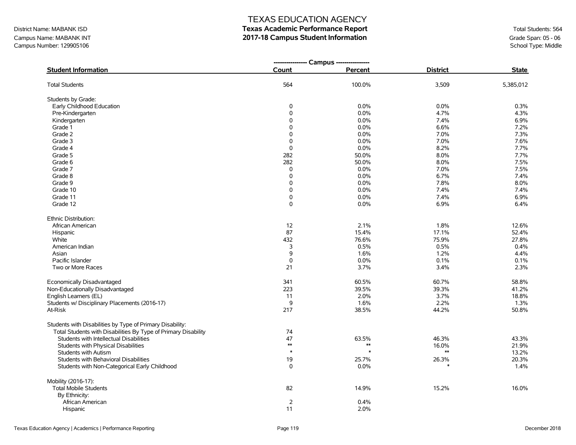Campus Name: MABANK INT **2017-18 Campus Student Information**<br>
2017-18 Campus Student Information<br>
Campus Number: 129905106<br>
School Type: Middle Campus Number: 129905106

### TEXAS EDUCATION AGENCY

|                                                                |              | --------------- Campus ---------------- |                 |              |
|----------------------------------------------------------------|--------------|-----------------------------------------|-----------------|--------------|
| <b>Student Information</b>                                     | <b>Count</b> | Percent                                 | <b>District</b> | <b>State</b> |
| <b>Total Students</b>                                          | 564          | 100.0%                                  | 3,509           | 5,385,012    |
| Students by Grade:                                             |              |                                         |                 |              |
| Early Childhood Education                                      | 0            | 0.0%                                    | 0.0%            | 0.3%         |
| Pre-Kindergarten                                               | 0            | 0.0%                                    | 4.7%            | 4.3%         |
| Kindergarten                                                   | 0            | 0.0%                                    | 7.4%            | 6.9%         |
| Grade 1                                                        | $\mathbf 0$  | 0.0%                                    | 6.6%            | 7.2%         |
| Grade 2                                                        | $\Omega$     | 0.0%                                    | 7.0%            | 7.3%         |
| Grade 3                                                        | $\Omega$     | 0.0%                                    | 7.0%            | 7.6%         |
| Grade 4                                                        | 0            | 0.0%                                    | 8.2%            | 7.7%         |
| Grade 5                                                        | 282          | 50.0%                                   | 8.0%            | 7.7%         |
| Grade 6                                                        | 282          | 50.0%                                   | 8.0%            | 7.5%         |
| Grade 7                                                        | 0            | 0.0%                                    | 7.0%            | 7.5%         |
| Grade 8                                                        | 0            | 0.0%                                    | 6.7%            | 7.4%         |
| Grade 9                                                        | $\mathbf 0$  | 0.0%                                    | 7.8%            | 8.0%         |
| Grade 10                                                       | 0            | 0.0%                                    | 7.4%            | 7.4%         |
| Grade 11                                                       | 0            | 0.0%                                    | 7.4%            | 6.9%         |
| Grade 12                                                       | 0            | 0.0%                                    | 6.9%            | 6.4%         |
| Ethnic Distribution:                                           |              |                                         |                 |              |
| African American                                               | 12           | 2.1%                                    | 1.8%            | 12.6%        |
| Hispanic                                                       | 87           | 15.4%                                   | 17.1%           | 52.4%        |
| White                                                          | 432          | 76.6%                                   | 75.9%           | 27.8%        |
| American Indian                                                | 3            | 0.5%                                    | 0.5%            | 0.4%         |
| Asian                                                          | 9            | 1.6%                                    | 1.2%            | 4.4%         |
| Pacific Islander                                               | 0            | 0.0%                                    | 0.1%            | 0.1%         |
| Two or More Races                                              | 21           | 3.7%                                    | 3.4%            | 2.3%         |
| Economically Disadvantaged                                     | 341          | 60.5%                                   | 60.7%           | 58.8%        |
| Non-Educationally Disadvantaged                                | 223          | 39.5%                                   | 39.3%           | 41.2%        |
| English Learners (EL)                                          | 11           | 2.0%                                    | 3.7%            | 18.8%        |
| Students w/ Disciplinary Placements (2016-17)                  | 9            | 1.6%                                    | 2.2%            | 1.3%         |
| At-Risk                                                        | 217          | 38.5%                                   | 44.2%           | 50.8%        |
| Students with Disabilities by Type of Primary Disability:      |              |                                         |                 |              |
| Total Students with Disabilities By Type of Primary Disability | 74           |                                         |                 |              |
| Students with Intellectual Disabilities                        | 47           | 63.5%                                   | 46.3%           | 43.3%        |
| Students with Physical Disabilities                            | $\ast\ast$   | $*$                                     | 16.0%           | 21.9%        |
| <b>Students with Autism</b>                                    | $\ast$       |                                         | $\ast\ast$      | 13.2%        |
| Students with Behavioral Disabilities                          | 19           | 25.7%                                   | 26.3%           | 20.3%        |
| Students with Non-Categorical Early Childhood                  | 0            | 0.0%                                    |                 | 1.4%         |
| Mobility (2016-17):                                            |              |                                         |                 |              |
| <b>Total Mobile Students</b>                                   | 82           | 14.9%                                   | 15.2%           | 16.0%        |
| By Ethnicity:                                                  |              |                                         |                 |              |
| African American                                               | 2            | 0.4%                                    |                 |              |
| Hispanic                                                       | 11           | 2.0%                                    |                 |              |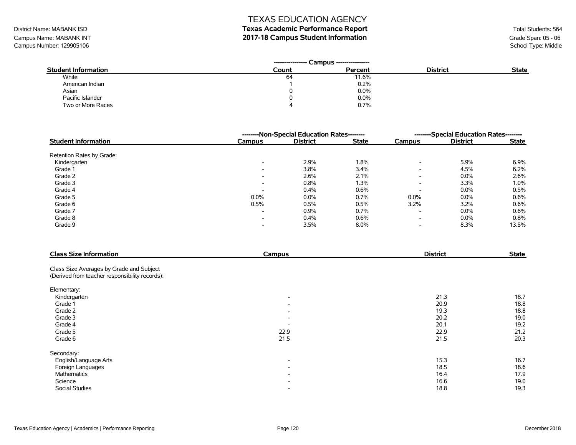# District Name: MABANK ISD **Texas Academic Performance Report Texas Academic Performance Report** Total Students: 564

Campus Name: MABANK INT **2017-18 Campus Student Information**<br>Campus Number: 129905106 School Type: Middle Campus Number: 129905106

| <b>Student Information</b> | Count | Percent | <b>District</b> | <b>State</b> |
|----------------------------|-------|---------|-----------------|--------------|
| White                      | 64    | 11.6%   |                 |              |
| American Indian            |       | 0.2%    |                 |              |
| Asian                      |       | 0.0%    |                 |              |
| Pacific Islander           |       | 0.0%    |                 |              |
| Two or More Races          |       | 0.7%    |                 |              |

|                            |                          | --------Non-Special Education Rates-------- | --------Special Education Rates-------- |                          |                 |              |
|----------------------------|--------------------------|---------------------------------------------|-----------------------------------------|--------------------------|-----------------|--------------|
| <b>Student Information</b> | <b>Campus</b>            | <b>District</b>                             | <b>State</b>                            | Campus                   | <b>District</b> | <b>State</b> |
| Retention Rates by Grade:  |                          |                                             |                                         |                          |                 |              |
| Kindergarten               | $\overline{\phantom{0}}$ | 2.9%                                        | 1.8%                                    | $\overline{\phantom{a}}$ | 5.9%            | 6.9%         |
| Grade 1                    | $\overline{\phantom{0}}$ | 3.8%                                        | 3.4%                                    | $\overline{\phantom{a}}$ | 4.5%            | 6.2%         |
| Grade 2                    | $\overline{\phantom{0}}$ | 2.6%                                        | 2.1%                                    | $\overline{\phantom{a}}$ | $0.0\%$         | 2.6%         |
| Grade 3                    | $\overline{\phantom{0}}$ | 0.8%                                        | 1.3%                                    | $\overline{\phantom{a}}$ | 3.3%            | 1.0%         |
| Grade 4                    | $\overline{\phantom{0}}$ | 0.4%                                        | 0.6%                                    | $\overline{\phantom{a}}$ | $0.0\%$         | 0.5%         |
| Grade 5                    | 0.0%                     | 0.0%                                        | 0.7%                                    | $0.0\%$                  | 0.0%            | 0.6%         |
| Grade 6                    | 0.5%                     | 0.5%                                        | 0.5%                                    | $3.2\%$                  | 3.2%            | 0.6%         |
| Grade 7                    | $\overline{\phantom{0}}$ | 0.9%                                        | 0.7%                                    | $\overline{\phantom{a}}$ | 0.0%            | 0.6%         |
| Grade 8                    | $\overline{\phantom{0}}$ | 0.4%                                        | 0.6%                                    | $\overline{\phantom{a}}$ | $0.0\%$         | 0.8%         |
| Grade 9                    | $\overline{\phantom{0}}$ | 3.5%                                        | 8.0%                                    | $\overline{\phantom{a}}$ | 8.3%            | 13.5%        |

| <b>Class Size Information</b>                  | Campus                   | <b>District</b> | <b>State</b> |
|------------------------------------------------|--------------------------|-----------------|--------------|
| Class Size Averages by Grade and Subject       |                          |                 |              |
| (Derived from teacher responsibility records): |                          |                 |              |
| Elementary:                                    |                          |                 |              |
| Kindergarten                                   | $\overline{\phantom{a}}$ | 21.3            | 18.7         |
| Grade 1                                        | $\overline{\phantom{a}}$ | 20.9            | 18.8         |
| Grade 2                                        | $\overline{\phantom{a}}$ | 19.3            | 18.8         |
| Grade 3                                        | $\overline{\phantom{a}}$ | 20.2            | 19.0         |
| Grade 4                                        |                          | 20.1            | 19.2         |
| Grade 5                                        | 22.9                     | 22.9            | 21.2         |
| Grade 6                                        | 21.5                     | 21.5            | 20.3         |
| Secondary:                                     |                          |                 |              |
| English/Language Arts                          | $\overline{\phantom{a}}$ | 15.3            | 16.7         |
| Foreign Languages                              | $\overline{\phantom{a}}$ | 18.5            | 18.6         |
| Mathematics                                    | $\overline{\phantom{a}}$ | 16.4            | 17.9         |
| Science                                        | $\overline{\phantom{a}}$ | 16.6            | 19.0         |
| Social Studies                                 | $\overline{\phantom{a}}$ | 18.8            | 19.3         |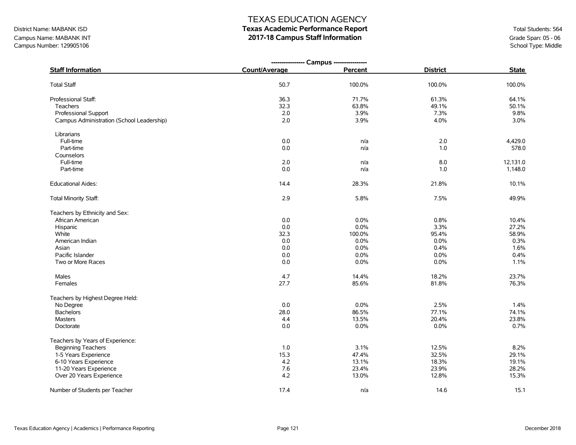# District Name: MABANK ISD **Texas Academic Performance Report Texas Academic Performance Report** Total Students: 564

Campus Name: MABANK INT **2017-18 Campus Staff Information**<br>Campus Number: 129905106 School Type: Middle Campus Number: 129905106

|                                           | ---------------- Campus ---------------- |         |                 |              |
|-------------------------------------------|------------------------------------------|---------|-----------------|--------------|
| <b>Staff Information</b>                  | Count/Average                            | Percent | <b>District</b> | <b>State</b> |
| <b>Total Staff</b>                        | 50.7                                     | 100.0%  | 100.0%          | 100.0%       |
| Professional Staff:                       | 36.3                                     | 71.7%   | 61.3%           | 64.1%        |
| <b>Teachers</b>                           | 32.3                                     | 63.8%   | 49.1%           | 50.1%        |
| <b>Professional Support</b>               | 2.0                                      | 3.9%    | 7.3%            | 9.8%         |
| Campus Administration (School Leadership) | 2.0                                      | 3.9%    | 4.0%            | 3.0%         |
| Librarians                                |                                          |         |                 |              |
| Full-time                                 | $0.0\,$                                  | n/a     | 2.0             | 4,429.0      |
| Part-time                                 | 0.0                                      | n/a     | 1.0             | 578.0        |
| Counselors                                |                                          |         |                 |              |
| Full-time                                 | 2.0                                      | n/a     | 8.0             | 12,131.0     |
| Part-time                                 | 0.0                                      | n/a     | 1.0             | 1,148.0      |
| <b>Educational Aides:</b>                 | 14.4                                     | 28.3%   | 21.8%           | 10.1%        |
| Total Minority Staff:                     | 2.9                                      | 5.8%    | 7.5%            | 49.9%        |
| Teachers by Ethnicity and Sex:            |                                          |         |                 |              |
| African American                          | 0.0                                      | 0.0%    | 0.8%            | 10.4%        |
| Hispanic                                  | 0.0                                      | 0.0%    | 3.3%            | 27.2%        |
| White                                     | 32.3                                     | 100.0%  | 95.4%           | 58.9%        |
| American Indian                           | 0.0                                      | 0.0%    | 0.0%            | 0.3%         |
| Asian                                     | 0.0                                      | 0.0%    | 0.4%            | 1.6%         |
| Pacific Islander                          | 0.0                                      | 0.0%    | 0.0%            | 0.4%         |
| Two or More Races                         | 0.0                                      | 0.0%    | 0.0%            | 1.1%         |
| Males                                     | 4.7                                      | 14.4%   | 18.2%           | 23.7%        |
| Females                                   | 27.7                                     | 85.6%   | 81.8%           | 76.3%        |
| Teachers by Highest Degree Held:          |                                          |         |                 |              |
| No Degree                                 | 0.0                                      | 0.0%    | 2.5%            | 1.4%         |
| <b>Bachelors</b>                          | 28.0                                     | 86.5%   | 77.1%           | 74.1%        |
| <b>Masters</b>                            | 4.4                                      | 13.5%   | 20.4%           | 23.8%        |
| Doctorate                                 | 0.0                                      | 0.0%    | 0.0%            | 0.7%         |
| Teachers by Years of Experience:          |                                          |         |                 |              |
| <b>Beginning Teachers</b>                 | 1.0                                      | 3.1%    | 12.5%           | 8.2%         |
| 1-5 Years Experience                      | 15.3                                     | 47.4%   | 32.5%           | 29.1%        |
| 6-10 Years Experience                     | 4.2                                      | 13.1%   | 18.3%           | 19.1%        |
| 11-20 Years Experience                    | 7.6                                      | 23.4%   | 23.9%           | 28.2%        |
| Over 20 Years Experience                  | 4.2                                      | 13.0%   | 12.8%           | 15.3%        |
| Number of Students per Teacher            | 17.4                                     | n/a     | 14.6            | 15.1         |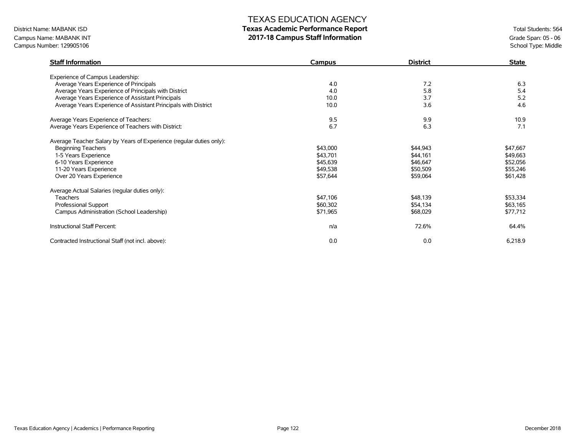# District Name: MABANK ISD **Texas Academic Performance Report Texas Academic Performance Report** Total Students: 564

Campus Name: MABANK INT **2017-18 Campus Staff Information**<br>Campus Number: 129905106 School Type: Middle Campus Number: 129905106

| <b>Staff Information</b>                                             | Campus   | <b>District</b> | <b>State</b> |
|----------------------------------------------------------------------|----------|-----------------|--------------|
| Experience of Campus Leadership:                                     |          |                 |              |
| Average Years Experience of Principals                               | 4.0      | 7.2             | 6.3          |
| Average Years Experience of Principals with District                 | 4.0      | 5.8             | 5.4          |
| Average Years Experience of Assistant Principals                     | 10.0     | 3.7             | 5.2          |
| Average Years Experience of Assistant Principals with District       | 10.0     | 3.6             | 4.6          |
| Average Years Experience of Teachers:                                | 9.5      | 9.9             | 10.9         |
| Average Years Experience of Teachers with District:                  | 6.7      | 6.3             | 7.1          |
| Average Teacher Salary by Years of Experience (regular duties only): |          |                 |              |
| <b>Beginning Teachers</b>                                            | \$43,000 | \$44,943        | \$47,667     |
| 1-5 Years Experience                                                 | \$43,701 | \$44,161        | \$49,663     |
| 6-10 Years Experience                                                | \$45,639 | \$46,647        | \$52,056     |
| 11-20 Years Experience                                               | \$49,538 | \$50,509        | \$55,246     |
| Over 20 Years Experience                                             | \$57,644 | \$59,064        | \$61,428     |
| Average Actual Salaries (regular duties only):                       |          |                 |              |
| <b>Teachers</b>                                                      | \$47,106 | \$48,139        | \$53,334     |
| Professional Support                                                 | \$60,302 | \$54,134        | \$63,165     |
| Campus Administration (School Leadership)                            | \$71,965 | \$68,029        | \$77,712     |
| Instructional Staff Percent:                                         | n/a      | 72.6%           | 64.4%        |
| Contracted Instructional Staff (not incl. above):                    | 0.0      | 0.0             | 6,218.9      |